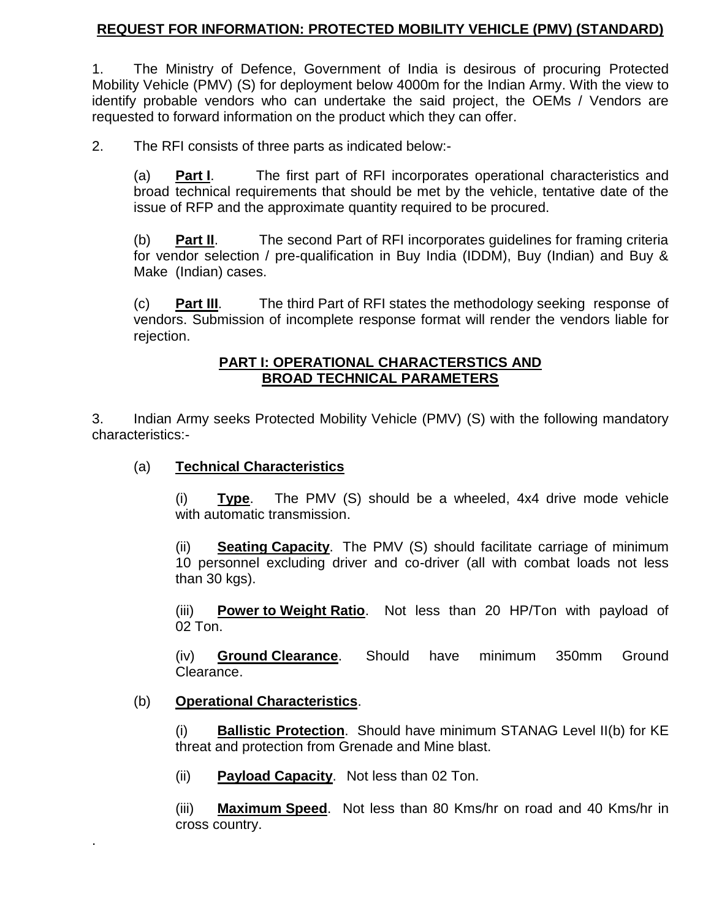#### **REQUEST FOR INFORMATION: PROTECTED MOBILITY VEHICLE (PMV) (STANDARD)**

1. The Ministry of Defence, Government of India is desirous of procuring Protected Mobility Vehicle (PMV) (S) for deployment below 4000m for the Indian Army. With the view to identify probable vendors who can undertake the said project, the OEMs / Vendors are requested to forward information on the product which they can offer.

2. The RFI consists of three parts as indicated below:-

(a) **Part I**. The first part of RFI incorporates operational characteristics and broad technical requirements that should be met by the vehicle, tentative date of the issue of RFP and the approximate quantity required to be procured.

(b) **Part II**. The second Part of RFI incorporates guidelines for framing criteria for vendor selection / pre-qualification in Buy India (IDDM), Buy (Indian) and Buy & Make (Indian) cases.

(c) **Part III**. The third Part of RFI states the methodology seeking response of vendors. Submission of incomplete response format will render the vendors liable for rejection.

#### **PART I: OPERATIONAL CHARACTERSTICS AND BROAD TECHNICAL PARAMETERS**

3. Indian Army seeks Protected Mobility Vehicle (PMV) (S) with the following mandatory characteristics:-

#### (a) **Technical Characteristics**

(i) **Type**. The PMV (S) should be a wheeled, 4x4 drive mode vehicle with automatic transmission.

(ii) **Seating Capacity**. The PMV (S) should facilitate carriage of minimum 10 personnel excluding driver and co-driver (all with combat loads not less than 30 kgs).

(iii) **Power to Weight Ratio**. Not less than 20 HP/Ton with payload of 02 Ton.

(iv) **Ground Clearance**. Should have minimum 350mm Ground Clearance.

#### (b) **Operational Characteristics**.

.

(i) **Ballistic Protection**. Should have minimum STANAG Level II(b) for KE threat and protection from Grenade and Mine blast.

(ii) **Payload Capacity**. Not less than 02 Ton.

(iii) **Maximum Speed**. Not less than 80 Kms/hr on road and 40 Kms/hr in cross country.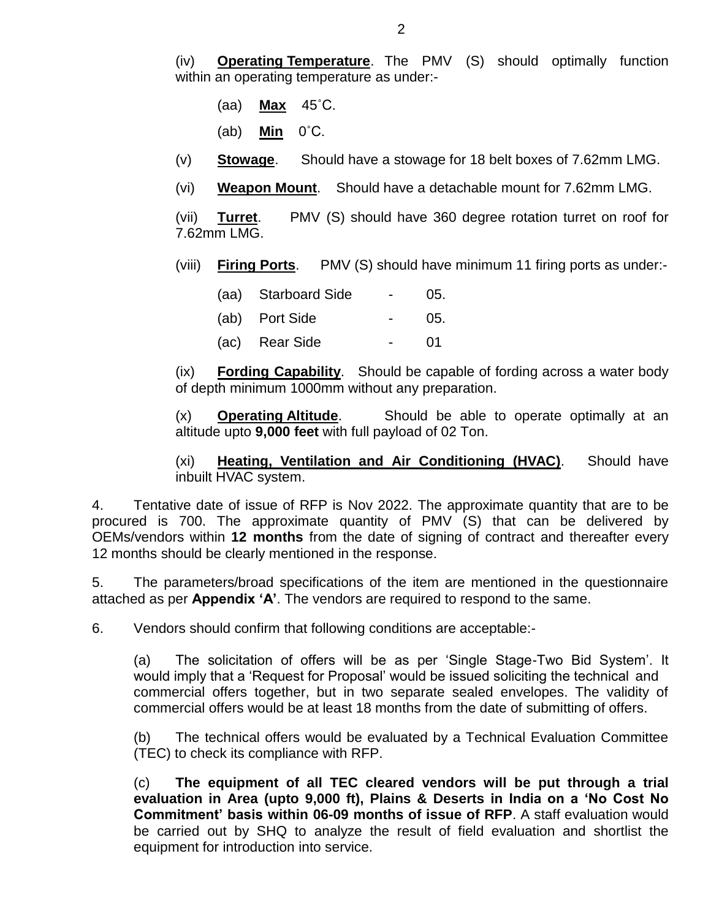(iv) **Operating Temperature**. The PMV (S) should optimally function within an operating temperature as under:-

(aa) **Max** 45˚C.

(ab) **Min** 0˚C.

- (v) **Stowage**. Should have a stowage for 18 belt boxes of 7.62mm LMG.
- (vi) **Weapon Mount**. Should have a detachable mount for 7.62mm LMG.

(vii) **Turret**. PMV (S) should have 360 degree rotation turret on roof for 7.62mm LMG.

(viii) **Firing Ports**. PMV (S) should have minimum 11 firing ports as under:-

| (aa) Starboard Side | 05. |
|---------------------|-----|
| (ab) Port Side      | 05. |
| (ac) Rear Side      | 01  |

(ix) **Fording Capability**. Should be capable of fording across a water body of depth minimum 1000mm without any preparation.

(x) **Operating Altitude**. Should be able to operate optimally at an altitude upto **9,000 feet** with full payload of 02 Ton.

(xi) **Heating, Ventilation and Air Conditioning (HVAC)**. Should have inbuilt HVAC system.

4. Tentative date of issue of RFP is Nov 2022. The approximate quantity that are to be procured is 700. The approximate quantity of PMV (S) that can be delivered by OEMs/vendors within **12 months** from the date of signing of contract and thereafter every 12 months should be clearly mentioned in the response.

5. The parameters/broad specifications of the item are mentioned in the questionnaire attached as per **Appendix 'A'**. The vendors are required to respond to the same.

6. Vendors should confirm that following conditions are acceptable:-

(a) The solicitation of offers will be as per 'Single Stage-Two Bid System'. It would imply that a 'Request for Proposal' would be issued soliciting the technical and commercial offers together, but in two separate sealed envelopes. The validity of commercial offers would be at least 18 months from the date of submitting of offers.

(b) The technical offers would be evaluated by a Technical Evaluation Committee (TEC) to check its compliance with RFP.

(c) **The equipment of all TEC cleared vendors will be put through a trial evaluation in Area (upto 9,000 ft), Plains & Deserts in India on a 'No Cost No Commitment' basis within 06-09 months of issue of RFP**. A staff evaluation would be carried out by SHQ to analyze the result of field evaluation and shortlist the equipment for introduction into service.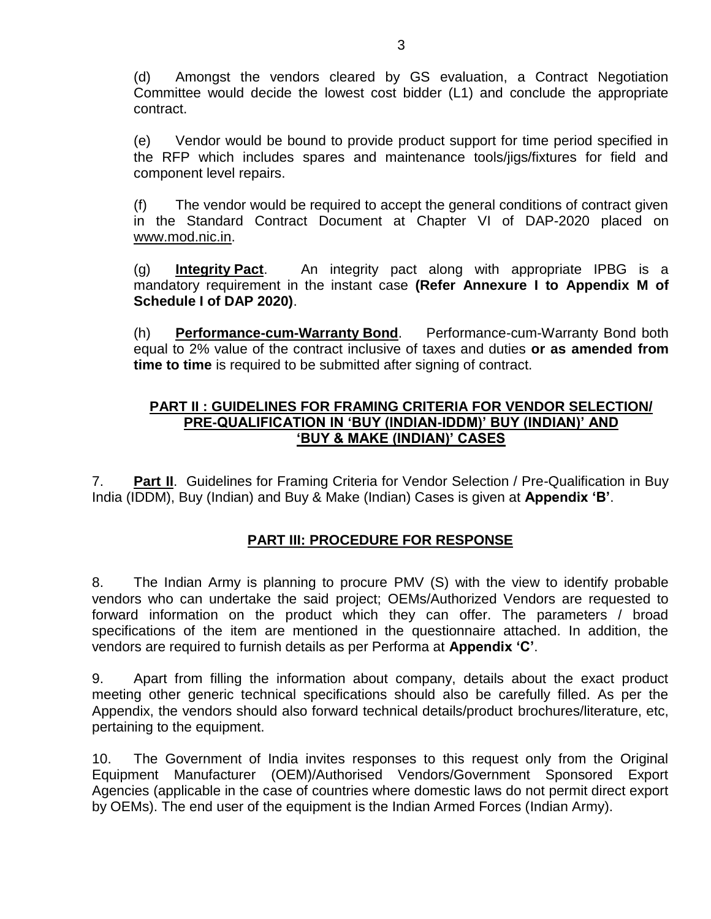(d) Amongst the vendors cleared by GS evaluation, a Contract Negotiation Committee would decide the lowest cost bidder (L1) and conclude the appropriate contract.

(e) Vendor would be bound to provide product support for time period specified in the RFP which includes spares and maintenance tools/jigs/fixtures for field and component level repairs.

(f) The vendor would be required to accept the general conditions of contract given in the Standard Contract Document at Chapter VI of DAP-2020 placed on [www.mod.nic.in.](http://www.mod.nic.in/)

(g) **Integrity Pact**. An integrity pact along with appropriate IPBG is a mandatory requirement in the instant case **(Refer Annexure I to Appendix M of Schedule I of DAP 2020)**.

(h) **Performance-cum-Warranty Bond**. Performance-cum-Warranty Bond both equal to 2% value of the contract inclusive of taxes and duties **or as amended from time to time** is required to be submitted after signing of contract.

#### **PART II : GUIDELINES FOR FRAMING CRITERIA FOR VENDOR SELECTION/ PRE-QUALIFICATION IN 'BUY (INDIAN-IDDM)' BUY (INDIAN)' AND 'BUY & MAKE (INDIAN)' CASES**

7. **Part II**. Guidelines for Framing Criteria for Vendor Selection / Pre-Qualification in Buy India (IDDM), Buy (Indian) and Buy & Make (Indian) Cases is given at **Appendix 'B'**.

#### **PART III: PROCEDURE FOR RESPONSE**

8. The Indian Army is planning to procure PMV (S) with the view to identify probable vendors who can undertake the said project; OEMs/Authorized Vendors are requested to forward information on the product which they can offer. The parameters / broad specifications of the item are mentioned in the questionnaire attached. In addition, the vendors are required to furnish details as per Performa at **Appendix 'C'**.

9. Apart from filling the information about company, details about the exact product meeting other generic technical specifications should also be carefully filled. As per the Appendix, the vendors should also forward technical details/product brochures/literature, etc, pertaining to the equipment.

10. The Government of India invites responses to this request only from the Original Equipment Manufacturer (OEM)/Authorised Vendors/Government Sponsored Export Agencies (applicable in the case of countries where domestic laws do not permit direct export by OEMs). The end user of the equipment is the Indian Armed Forces (Indian Army).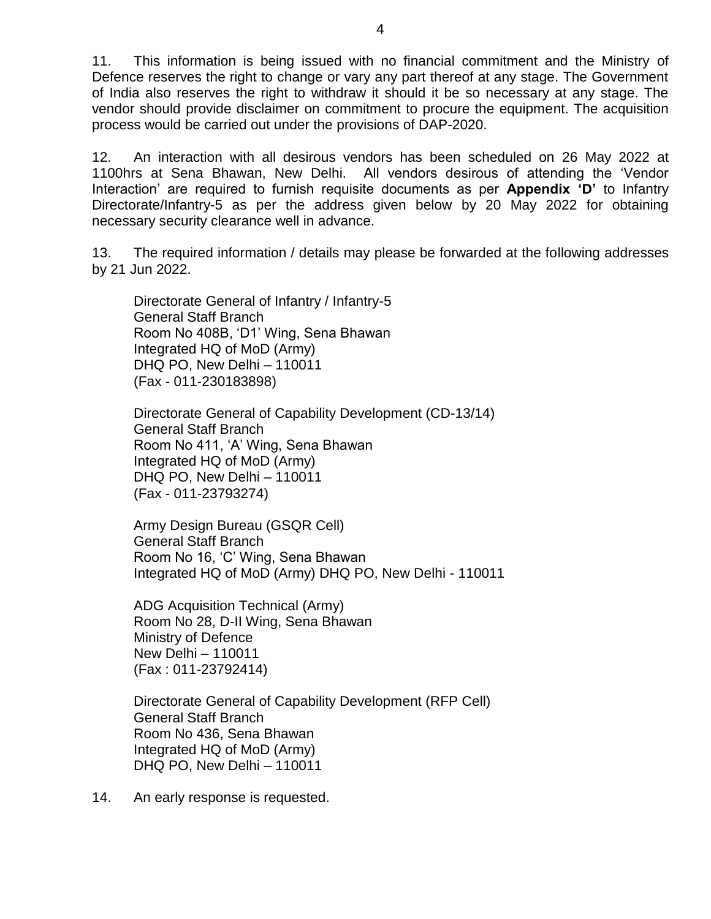11. This information is being issued with no financial commitment and the Ministry of Defence reserves the right to change or vary any part thereof at any stage. The Government of India also reserves the right to withdraw it should it be so necessary at any stage. The vendor should provide disclaimer on commitment to procure the equipment. The acquisition process would be carried out under the provisions of DAP-2020.

12. An interaction with all desirous vendors has been scheduled on 26 May 2022 at 1100hrs at Sena Bhawan, New Delhi. All vendors desirous of attending the 'Vendor Interaction' are required to furnish requisite documents as per **Appendix 'D'** to Infantry Directorate/Infantry-5 as per the address given below by 20 May 2022 for obtaining necessary security clearance well in advance.

13. The required information / details may please be forwarded at the following addresses by 21 Jun 2022.

Directorate General of Infantry / Infantry-5 General Staff Branch Room No 408B, 'D1' Wing, Sena Bhawan Integrated HQ of MoD (Army) DHQ PO, New Delhi – 110011 (Fax - 011-230183898)

Directorate General of Capability Development (CD-13/14) General Staff Branch Room No 411, 'A' Wing, Sena Bhawan Integrated HQ of MoD (Army) DHQ PO, New Delhi – 110011 (Fax - 011-23793274)

Army Design Bureau (GSQR Cell) General Staff Branch Room No 16, 'C' Wing, Sena Bhawan Integrated HQ of MoD (Army) DHQ PO, New Delhi - 110011

ADG Acquisition Technical (Army) Room No 28, D-II Wing, Sena Bhawan Ministry of Defence New Delhi – 110011 (Fax : 011-23792414)

Directorate General of Capability Development (RFP Cell) General Staff Branch Room No 436, Sena Bhawan Integrated HQ of MoD (Army) DHQ PO, New Delhi – 110011

14. An early response is requested.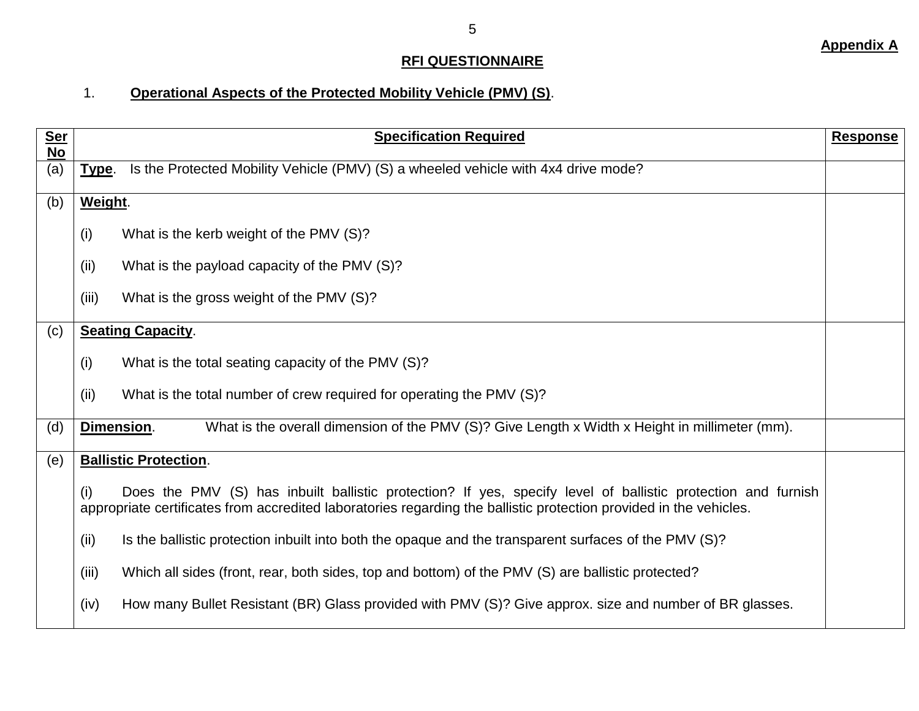### **RFI QUESTIONNAIRE**

# 1. **Operational Aspects of the Protected Mobility Vehicle (PMV) (S)**.

| <u>Ser</u><br><b>No</b> | <b>Specification Required</b>                                                                                                                                                                                                             | <b>Response</b> |
|-------------------------|-------------------------------------------------------------------------------------------------------------------------------------------------------------------------------------------------------------------------------------------|-----------------|
| (a)                     | Is the Protected Mobility Vehicle (PMV) (S) a wheeled vehicle with 4x4 drive mode?<br>Type.                                                                                                                                               |                 |
| (b)                     | Weight.                                                                                                                                                                                                                                   |                 |
|                         | What is the kerb weight of the PMV (S)?<br>(i)                                                                                                                                                                                            |                 |
|                         | (ii)<br>What is the payload capacity of the PMV (S)?                                                                                                                                                                                      |                 |
|                         | (iii)<br>What is the gross weight of the PMV (S)?                                                                                                                                                                                         |                 |
| (c)                     | <b>Seating Capacity.</b>                                                                                                                                                                                                                  |                 |
|                         | (i)<br>What is the total seating capacity of the PMV (S)?                                                                                                                                                                                 |                 |
|                         | (ii)<br>What is the total number of crew required for operating the PMV (S)?                                                                                                                                                              |                 |
| (d)                     | What is the overall dimension of the PMV (S)? Give Length x Width x Height in millimeter (mm).<br>Dimension.                                                                                                                              |                 |
| (e)                     | <b>Ballistic Protection.</b>                                                                                                                                                                                                              |                 |
|                         | Does the PMV (S) has inbuilt ballistic protection? If yes, specify level of ballistic protection and furnish<br>(i)<br>appropriate certificates from accredited laboratories regarding the ballistic protection provided in the vehicles. |                 |
|                         | Is the ballistic protection inbuilt into both the opaque and the transparent surfaces of the PMV (S)?<br>(ii)                                                                                                                             |                 |
|                         | (iii)<br>Which all sides (front, rear, both sides, top and bottom) of the PMV (S) are ballistic protected?                                                                                                                                |                 |
|                         | How many Bullet Resistant (BR) Glass provided with PMV (S)? Give approx. size and number of BR glasses.<br>(iv)                                                                                                                           |                 |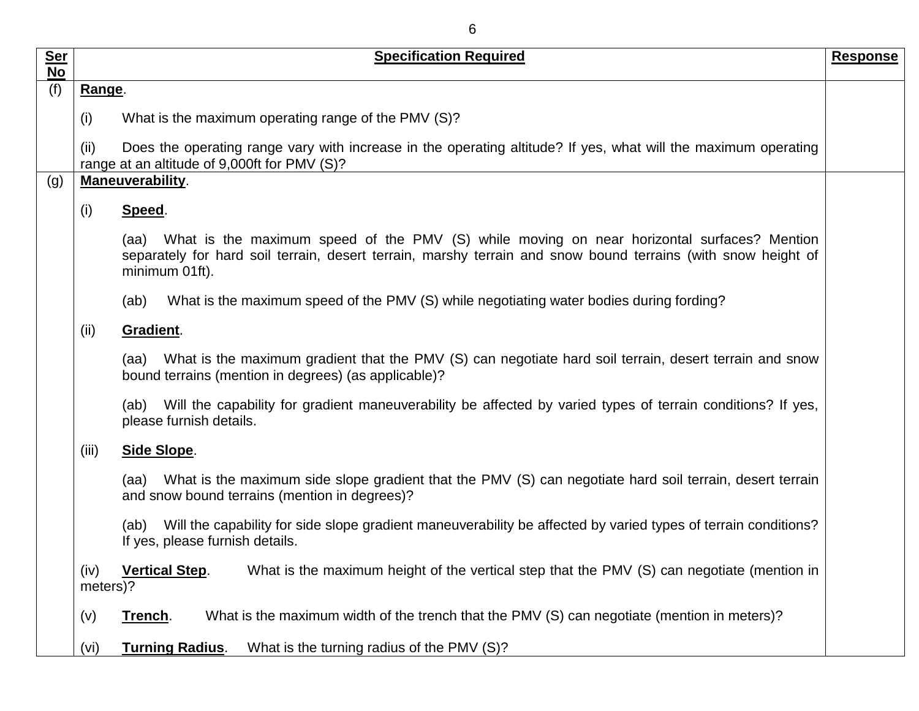| 6         |                                                                                                                                                                                                                                    |          |
|-----------|------------------------------------------------------------------------------------------------------------------------------------------------------------------------------------------------------------------------------------|----------|
| Ser<br>No | <b>Specification Required</b>                                                                                                                                                                                                      | Response |
| (f)       | Range.                                                                                                                                                                                                                             |          |
|           | What is the maximum operating range of the PMV (S)?<br>(i)                                                                                                                                                                         |          |
|           | Does the operating range vary with increase in the operating altitude? If yes, what will the maximum operating<br>(ii)<br>range at an altitude of 9,000ft for PMV (S)?                                                             |          |
| (g)       | Maneuverability.                                                                                                                                                                                                                   |          |
|           | (i)<br>Speed.                                                                                                                                                                                                                      |          |
|           | (aa) What is the maximum speed of the PMV (S) while moving on near horizontal surfaces? Mention<br>separately for hard soil terrain, desert terrain, marshy terrain and snow bound terrains (with snow height of<br>minimum 01ft). |          |
|           | What is the maximum speed of the PMV (S) while negotiating water bodies during fording?<br>(ab)                                                                                                                                    |          |
|           | Gradient.<br>(ii)                                                                                                                                                                                                                  |          |
|           | What is the maximum gradient that the PMV (S) can negotiate hard soil terrain, desert terrain and snow<br>(aa)<br>bound terrains (mention in degrees) (as applicable)?                                                             |          |
|           | (ab) Will the capability for gradient maneuverability be affected by varied types of terrain conditions? If yes,<br>please furnish details.                                                                                        |          |
|           | (iii)<br>Side Slope.                                                                                                                                                                                                               |          |
|           | What is the maximum side slope gradient that the PMV (S) can negotiate hard soil terrain, desert terrain<br>(aa)<br>and snow bound terrains (mention in degrees)?                                                                  |          |
|           | Will the capability for side slope gradient maneuverability be affected by varied types of terrain conditions?<br>(ab)<br>If yes, please furnish details.                                                                          |          |
|           | <b>Vertical Step.</b><br>What is the maximum height of the vertical step that the PMV (S) can negotiate (mention in<br>(iv)<br>meters)?                                                                                            |          |
|           | What is the maximum width of the trench that the PMV (S) can negotiate (mention in meters)?<br>(v)<br>Trench.                                                                                                                      |          |
|           | What is the turning radius of the PMV (S)?<br><b>Turning Radius.</b><br>(vi)                                                                                                                                                       |          |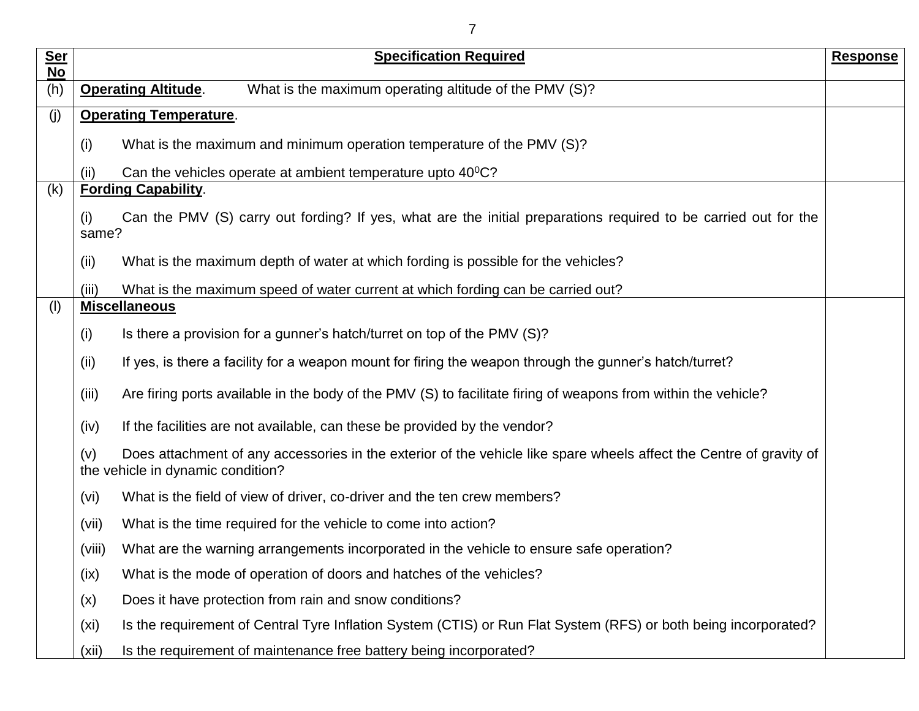| <b>Ser</b>       | <b>Specification Required</b>                                                                                                                                   | <b>Response</b> |
|------------------|-----------------------------------------------------------------------------------------------------------------------------------------------------------------|-----------------|
| <b>No</b><br>(h) | What is the maximum operating altitude of the PMV (S)?<br><b>Operating Altitude.</b>                                                                            |                 |
| (j)              | <b>Operating Temperature.</b>                                                                                                                                   |                 |
|                  | What is the maximum and minimum operation temperature of the PMV (S)?<br>(i)                                                                                    |                 |
|                  |                                                                                                                                                                 |                 |
| (k)              | Can the vehicles operate at ambient temperature upto $40^{\circ}$ C?<br>(ii)<br><b>Fording Capability.</b>                                                      |                 |
|                  | Can the PMV (S) carry out fording? If yes, what are the initial preparations required to be carried out for the<br>(i)<br>same?                                 |                 |
|                  | What is the maximum depth of water at which fording is possible for the vehicles?<br>(ii)                                                                       |                 |
|                  | What is the maximum speed of water current at which fording can be carried out?<br>(iii)                                                                        |                 |
| (1)              | <b>Miscellaneous</b>                                                                                                                                            |                 |
|                  | (i)<br>Is there a provision for a gunner's hatch/turret on top of the PMV (S)?                                                                                  |                 |
|                  | If yes, is there a facility for a weapon mount for firing the weapon through the gunner's hatch/turret?<br>(ii)                                                 |                 |
|                  | Are firing ports available in the body of the PMV (S) to facilitate firing of weapons from within the vehicle?<br>(iii)                                         |                 |
|                  | If the facilities are not available, can these be provided by the vendor?<br>(iv)                                                                               |                 |
|                  | Does attachment of any accessories in the exterior of the vehicle like spare wheels affect the Centre of gravity of<br>(v)<br>the vehicle in dynamic condition? |                 |
|                  | (vi)<br>What is the field of view of driver, co-driver and the ten crew members?                                                                                |                 |
|                  | What is the time required for the vehicle to come into action?<br>(vii)                                                                                         |                 |
|                  | What are the warning arrangements incorporated in the vehicle to ensure safe operation?<br>(viii)                                                               |                 |
|                  | What is the mode of operation of doors and hatches of the vehicles?<br>(ix)                                                                                     |                 |
|                  | Does it have protection from rain and snow conditions?<br>(x)                                                                                                   |                 |
|                  | Is the requirement of Central Tyre Inflation System (CTIS) or Run Flat System (RFS) or both being incorporated?<br>(x <sub>i</sub> )                            |                 |
|                  | Is the requirement of maintenance free battery being incorporated?<br>(xii)                                                                                     |                 |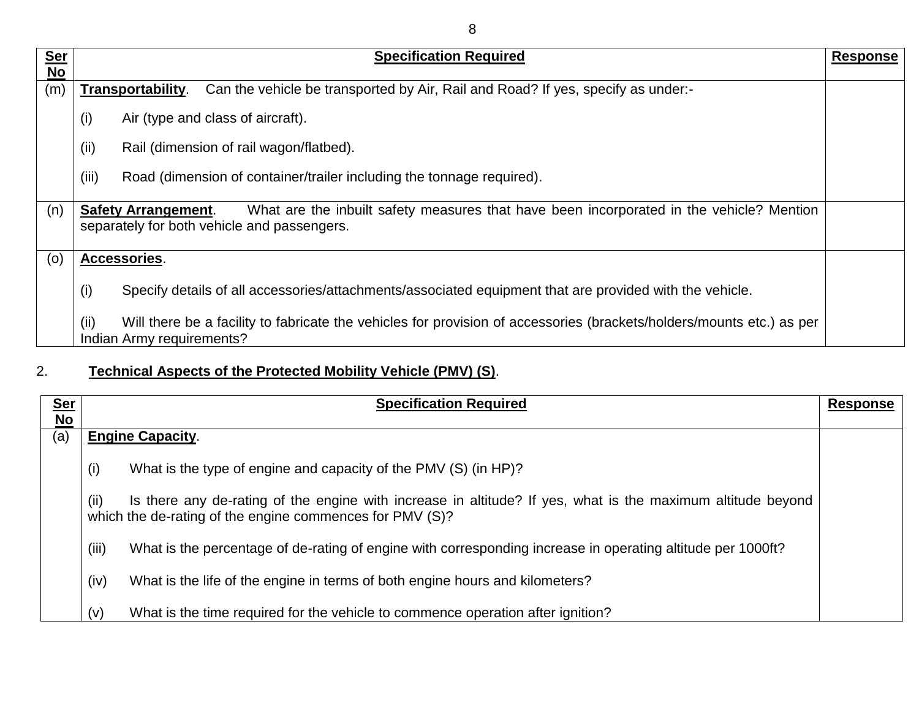| <b>Ser</b> | <b>Specification Required</b>                                                                                                                                         | <b>Response</b> |
|------------|-----------------------------------------------------------------------------------------------------------------------------------------------------------------------|-----------------|
| No         |                                                                                                                                                                       |                 |
| (m)        | Can the vehicle be transported by Air, Rail and Road? If yes, specify as under:-<br>Transportability.                                                                 |                 |
|            | Air (type and class of aircraft).<br>(i)                                                                                                                              |                 |
|            | (ii)<br>Rail (dimension of rail wagon/flatbed).                                                                                                                       |                 |
|            | (iii)<br>Road (dimension of container/trailer including the tonnage required).                                                                                        |                 |
| (n)        | What are the inbuilt safety measures that have been incorporated in the vehicle? Mention<br><b>Safety Arrangement.</b><br>separately for both vehicle and passengers. |                 |
| (0)        | Accessories.                                                                                                                                                          |                 |
|            | (i)<br>Specify details of all accessories/attachments/associated equipment that are provided with the vehicle.                                                        |                 |
|            | Will there be a facility to fabricate the vehicles for provision of accessories (brackets/holders/mounts etc.) as per<br>(ii)<br>Indian Army requirements?            |                 |

# 2. **Technical Aspects of the Protected Mobility Vehicle (PMV) (S)**.

| <u>Ser</u><br>$\underline{\mathsf{No}}$ | <b>Specification Required</b>                                                                                                                                                   | <b>Response</b> |
|-----------------------------------------|---------------------------------------------------------------------------------------------------------------------------------------------------------------------------------|-----------------|
| (a)                                     | <b>Engine Capacity.</b>                                                                                                                                                         |                 |
|                                         | (i)<br>What is the type of engine and capacity of the PMV (S) (in HP)?                                                                                                          |                 |
|                                         | (ii)<br>Is there any de-rating of the engine with increase in altitude? If yes, what is the maximum altitude beyond<br>which the de-rating of the engine commences for PMV (S)? |                 |
|                                         | (iii)<br>What is the percentage of de-rating of engine with corresponding increase in operating altitude per 1000ft?                                                            |                 |
|                                         | (iv)<br>What is the life of the engine in terms of both engine hours and kilometers?                                                                                            |                 |
|                                         | What is the time required for the vehicle to commence operation after ignition?<br>(v)                                                                                          |                 |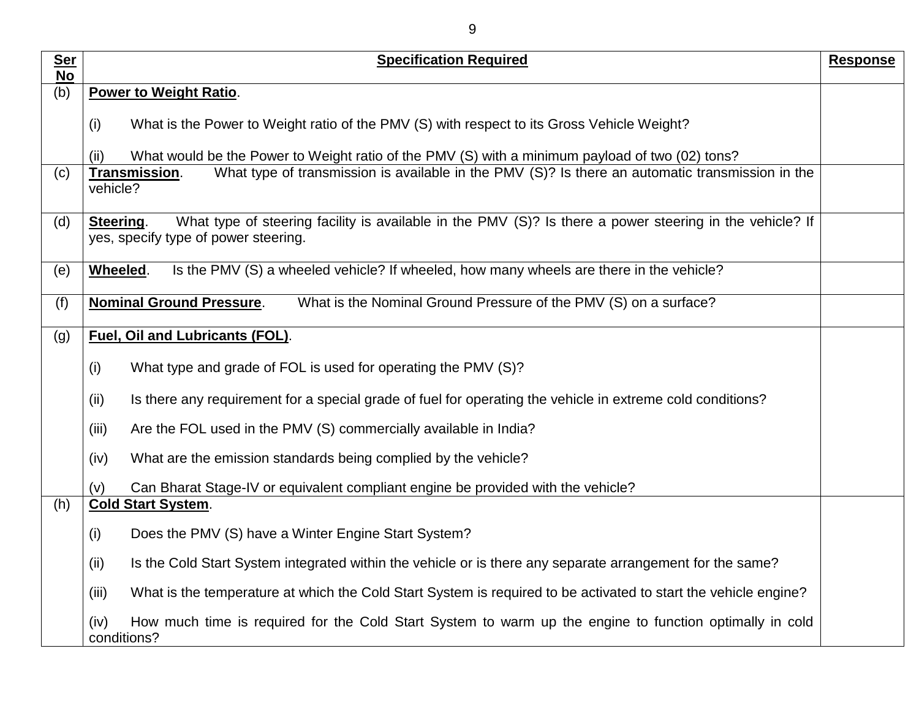| <b>Ser</b><br><b>No</b> | <b>Specification Required</b>                                                                                                                                 | <b>Response</b> |
|-------------------------|---------------------------------------------------------------------------------------------------------------------------------------------------------------|-----------------|
| (b)                     | Power to Weight Ratio.                                                                                                                                        |                 |
|                         | What is the Power to Weight ratio of the PMV (S) with respect to its Gross Vehicle Weight?<br>(i)                                                             |                 |
|                         | What would be the Power to Weight ratio of the PMV (S) with a minimum payload of two (02) tons?<br>(ii)                                                       |                 |
| (c)                     | What type of transmission is available in the PMV (S)? Is there an automatic transmission in the<br>Transmission.<br>vehicle?                                 |                 |
| (d)                     | What type of steering facility is available in the PMV (S)? Is there a power steering in the vehicle? If<br>Steering.<br>yes, specify type of power steering. |                 |
| (e)                     | Wheeled.<br>Is the PMV (S) a wheeled vehicle? If wheeled, how many wheels are there in the vehicle?                                                           |                 |
| (f)                     | <b>Nominal Ground Pressure.</b><br>What is the Nominal Ground Pressure of the PMV (S) on a surface?                                                           |                 |
| (g)                     | <b>Fuel, Oil and Lubricants (FOL).</b>                                                                                                                        |                 |
|                         | What type and grade of FOL is used for operating the PMV (S)?<br>(i)                                                                                          |                 |
|                         | (ii)<br>Is there any requirement for a special grade of fuel for operating the vehicle in extreme cold conditions?                                            |                 |
|                         | (iii)<br>Are the FOL used in the PMV (S) commercially available in India?                                                                                     |                 |
|                         | (iv)<br>What are the emission standards being complied by the vehicle?                                                                                        |                 |
|                         | Can Bharat Stage-IV or equivalent compliant engine be provided with the vehicle?<br>(v)                                                                       |                 |
| (h)                     | <b>Cold Start System.</b>                                                                                                                                     |                 |
|                         | Does the PMV (S) have a Winter Engine Start System?<br>(i)                                                                                                    |                 |
|                         | (ii)<br>Is the Cold Start System integrated within the vehicle or is there any separate arrangement for the same?                                             |                 |
|                         | What is the temperature at which the Cold Start System is required to be activated to start the vehicle engine?<br>(iii)                                      |                 |
|                         | How much time is required for the Cold Start System to warm up the engine to function optimally in cold<br>(iv)<br>conditions?                                |                 |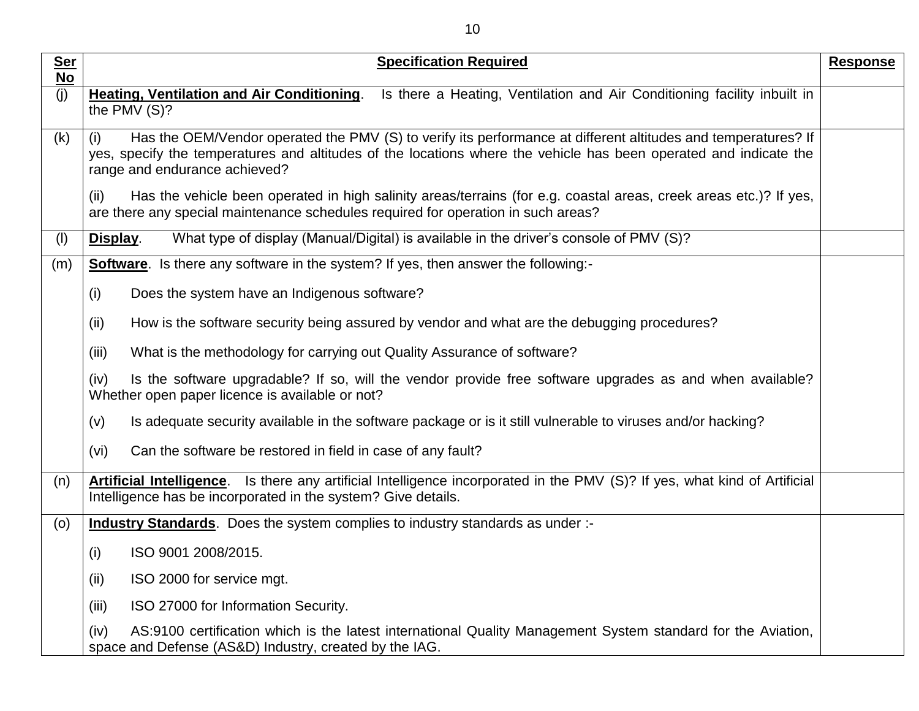| <b>Ser</b> | <b>Specification Required</b>                                                                                                                                                                                                                                              | <b>Response</b> |
|------------|----------------------------------------------------------------------------------------------------------------------------------------------------------------------------------------------------------------------------------------------------------------------------|-----------------|
| <b>No</b>  |                                                                                                                                                                                                                                                                            |                 |
| (j)        | <b>Heating, Ventilation and Air Conditioning.</b><br>Is there a Heating, Ventilation and Air Conditioning facility inbuilt in<br>the PMV (S)?                                                                                                                              |                 |
| (k)        | Has the OEM/Vendor operated the PMV (S) to verify its performance at different altitudes and temperatures? If<br>(i)<br>yes, specify the temperatures and altitudes of the locations where the vehicle has been operated and indicate the<br>range and endurance achieved? |                 |
|            | Has the vehicle been operated in high salinity areas/terrains (for e.g. coastal areas, creek areas etc.)? If yes,<br>(ii)<br>are there any special maintenance schedules required for operation in such areas?                                                             |                 |
| (1)        | What type of display (Manual/Digital) is available in the driver's console of PMV (S)?<br>Display.                                                                                                                                                                         |                 |
| (m)        | <b>Software.</b> Is there any software in the system? If yes, then answer the following:-                                                                                                                                                                                  |                 |
|            | Does the system have an Indigenous software?<br>(i)                                                                                                                                                                                                                        |                 |
|            | (ii)<br>How is the software security being assured by vendor and what are the debugging procedures?                                                                                                                                                                        |                 |
|            | What is the methodology for carrying out Quality Assurance of software?<br>(iii)                                                                                                                                                                                           |                 |
|            | Is the software upgradable? If so, will the vendor provide free software upgrades as and when available?<br>(iv)<br>Whether open paper licence is available or not?                                                                                                        |                 |
|            | Is adequate security available in the software package or is it still vulnerable to viruses and/or hacking?<br>(v)                                                                                                                                                         |                 |
|            | Can the software be restored in field in case of any fault?<br>(vi)                                                                                                                                                                                                        |                 |
| (n)        | Artificial Intelligence. Is there any artificial Intelligence incorporated in the PMV (S)? If yes, what kind of Artificial<br>Intelligence has be incorporated in the system? Give details.                                                                                |                 |
| (0)        | <b>Industry Standards.</b> Does the system complies to industry standards as under :-                                                                                                                                                                                      |                 |
|            | ISO 9001 2008/2015.<br>(i)                                                                                                                                                                                                                                                 |                 |
|            | (ii)<br>ISO 2000 for service mgt.                                                                                                                                                                                                                                          |                 |
|            | ISO 27000 for Information Security.<br>(iii)                                                                                                                                                                                                                               |                 |
|            | AS:9100 certification which is the latest international Quality Management System standard for the Aviation,<br>(iv)<br>space and Defense (AS&D) Industry, created by the IAG.                                                                                             |                 |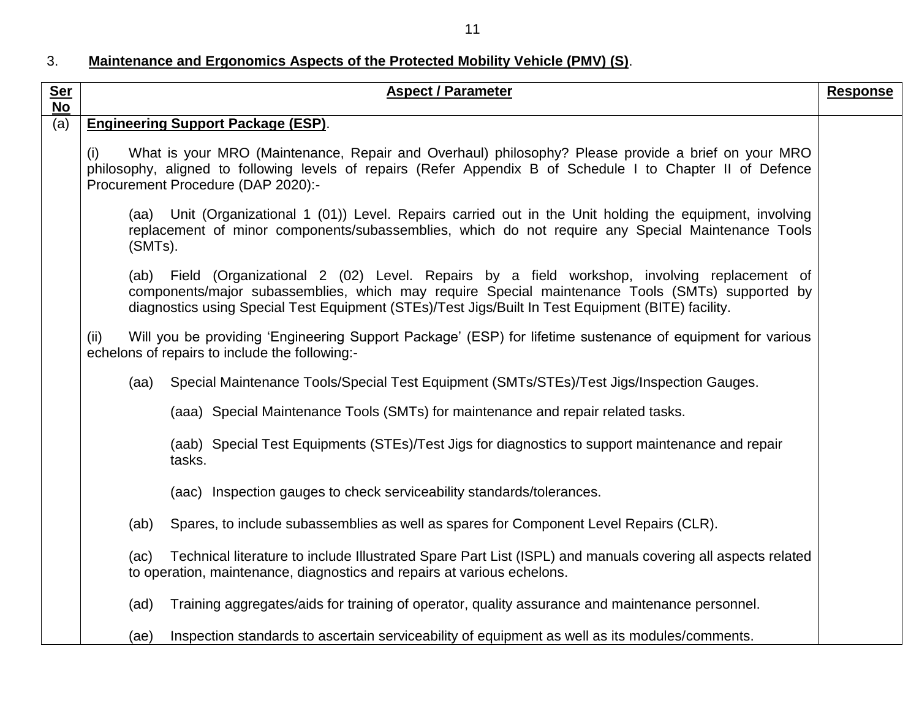11

## 3. **Maintenance and Ergonomics Aspects of the Protected Mobility Vehicle (PMV) (S)**.

| <u>Ser</u><br><b>No</b> | <b>Aspect / Parameter</b>                                                                                                                                                                                                                                                                                  | <b>Response</b> |
|-------------------------|------------------------------------------------------------------------------------------------------------------------------------------------------------------------------------------------------------------------------------------------------------------------------------------------------------|-----------------|
| (a)                     | <b>Engineering Support Package (ESP).</b>                                                                                                                                                                                                                                                                  |                 |
|                         | (i)<br>What is your MRO (Maintenance, Repair and Overhaul) philosophy? Please provide a brief on your MRO<br>philosophy, aligned to following levels of repairs (Refer Appendix B of Schedule I to Chapter II of Defence<br>Procurement Procedure (DAP 2020):-                                             |                 |
|                         | (aa) Unit (Organizational 1 (01)) Level. Repairs carried out in the Unit holding the equipment, involving<br>replacement of minor components/subassemblies, which do not require any Special Maintenance Tools<br>(SMTs).                                                                                  |                 |
|                         | Field (Organizational 2 (02) Level. Repairs by a field workshop, involving replacement of<br>(ab)<br>components/major subassemblies, which may require Special maintenance Tools (SMTs) supported by<br>diagnostics using Special Test Equipment (STEs)/Test Jigs/Built In Test Equipment (BITE) facility. |                 |
|                         | Will you be providing 'Engineering Support Package' (ESP) for lifetime sustenance of equipment for various<br>(ii)<br>echelons of repairs to include the following:-                                                                                                                                       |                 |
|                         | Special Maintenance Tools/Special Test Equipment (SMTs/STEs)/Test Jigs/Inspection Gauges.<br>(aa)                                                                                                                                                                                                          |                 |
|                         | (aaa) Special Maintenance Tools (SMTs) for maintenance and repair related tasks.                                                                                                                                                                                                                           |                 |
|                         | (aab) Special Test Equipments (STEs)/Test Jigs for diagnostics to support maintenance and repair<br>tasks.                                                                                                                                                                                                 |                 |
|                         | (aac) Inspection gauges to check serviceability standards/tolerances.                                                                                                                                                                                                                                      |                 |
|                         | Spares, to include subassemblies as well as spares for Component Level Repairs (CLR).<br>(ab)                                                                                                                                                                                                              |                 |
|                         | Technical literature to include Illustrated Spare Part List (ISPL) and manuals covering all aspects related<br>(ac)<br>to operation, maintenance, diagnostics and repairs at various echelons.                                                                                                             |                 |
|                         | Training aggregates/aids for training of operator, quality assurance and maintenance personnel.<br>(ad)                                                                                                                                                                                                    |                 |
|                         | Inspection standards to ascertain serviceability of equipment as well as its modules/comments.<br>(ae)                                                                                                                                                                                                     |                 |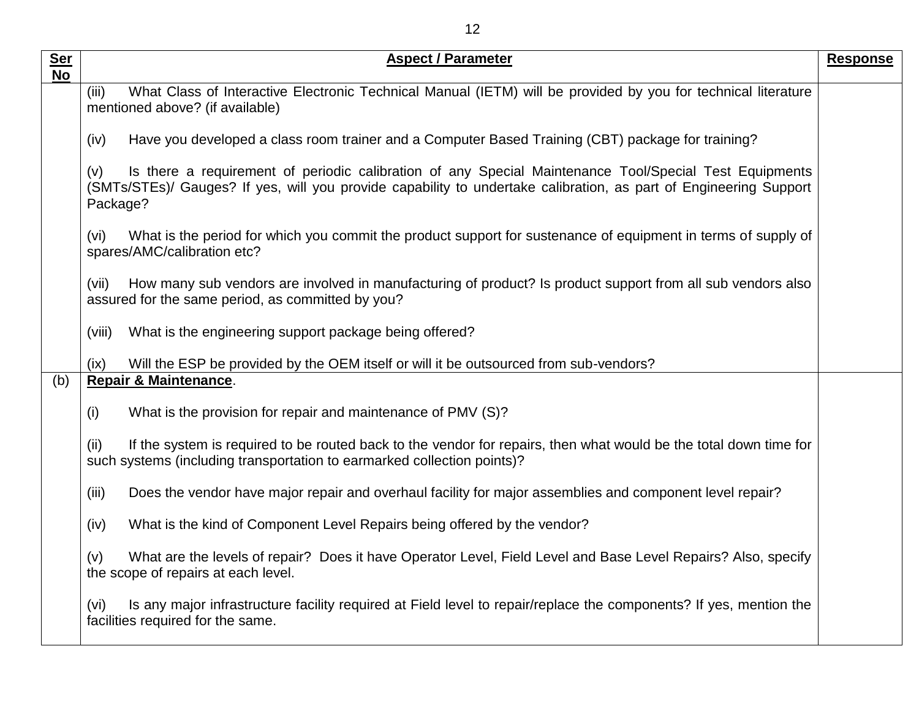| <b>Ser</b><br><b>No</b> | <b>Aspect / Parameter</b>                                                                                                                                                                                                                      | <b>Response</b> |
|-------------------------|------------------------------------------------------------------------------------------------------------------------------------------------------------------------------------------------------------------------------------------------|-----------------|
|                         | What Class of Interactive Electronic Technical Manual (IETM) will be provided by you for technical literature<br>(iii)<br>mentioned above? (if available)                                                                                      |                 |
|                         | Have you developed a class room trainer and a Computer Based Training (CBT) package for training?<br>(iv)                                                                                                                                      |                 |
|                         | Is there a requirement of periodic calibration of any Special Maintenance Tool/Special Test Equipments<br>(v)<br>(SMTs/STEs)/ Gauges? If yes, will you provide capability to undertake calibration, as part of Engineering Support<br>Package? |                 |
|                         | What is the period for which you commit the product support for sustenance of equipment in terms of supply of<br>(vi)<br>spares/AMC/calibration etc?                                                                                           |                 |
|                         | How many sub vendors are involved in manufacturing of product? Is product support from all sub vendors also<br>(vii)<br>assured for the same period, as committed by you?                                                                      |                 |
|                         | What is the engineering support package being offered?<br>(viii)                                                                                                                                                                               |                 |
|                         | Will the ESP be provided by the OEM itself or will it be outsourced from sub-vendors?<br>(ix)                                                                                                                                                  |                 |
| (b)                     | <b>Repair &amp; Maintenance.</b>                                                                                                                                                                                                               |                 |
|                         | What is the provision for repair and maintenance of PMV (S)?<br>(i)                                                                                                                                                                            |                 |
|                         | If the system is required to be routed back to the vendor for repairs, then what would be the total down time for<br>(ii)<br>such systems (including transportation to earmarked collection points)?                                           |                 |
|                         | Does the vendor have major repair and overhaul facility for major assemblies and component level repair?<br>(iii)                                                                                                                              |                 |
|                         | What is the kind of Component Level Repairs being offered by the vendor?<br>(iv)                                                                                                                                                               |                 |
|                         | What are the levels of repair? Does it have Operator Level, Field Level and Base Level Repairs? Also, specify<br>(v)<br>the scope of repairs at each level.                                                                                    |                 |
|                         | Is any major infrastructure facility required at Field level to repair/replace the components? If yes, mention the<br>(vi)<br>facilities required for the same.                                                                                |                 |
|                         |                                                                                                                                                                                                                                                |                 |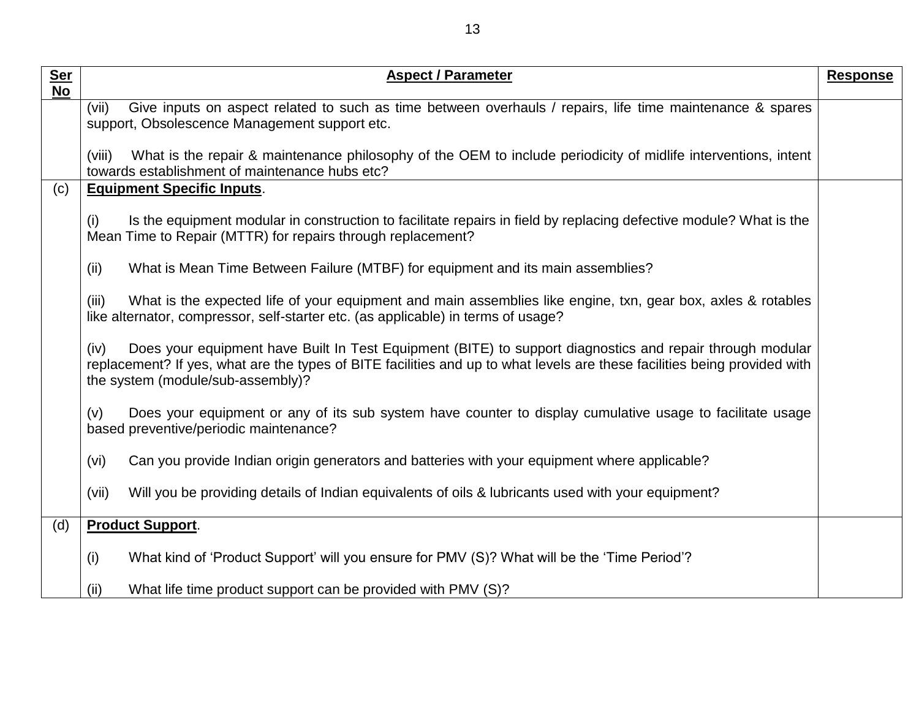| <u>Ser</u>      | <b>Aspect / Parameter</b>                                                                                                                                                                                                                                                           | <b>Response</b> |
|-----------------|-------------------------------------------------------------------------------------------------------------------------------------------------------------------------------------------------------------------------------------------------------------------------------------|-----------------|
| $\overline{No}$ |                                                                                                                                                                                                                                                                                     |                 |
|                 | Give inputs on aspect related to such as time between overhauls / repairs, life time maintenance & spares<br>(vii)<br>support, Obsolescence Management support etc.                                                                                                                 |                 |
|                 |                                                                                                                                                                                                                                                                                     |                 |
|                 | What is the repair & maintenance philosophy of the OEM to include periodicity of midlife interventions, intent<br>(viii)<br>towards establishment of maintenance hubs etc?                                                                                                          |                 |
| (c)             | <b>Equipment Specific Inputs.</b>                                                                                                                                                                                                                                                   |                 |
|                 | (i)<br>Is the equipment modular in construction to facilitate repairs in field by replacing defective module? What is the<br>Mean Time to Repair (MTTR) for repairs through replacement?                                                                                            |                 |
|                 | (ii)<br>What is Mean Time Between Failure (MTBF) for equipment and its main assemblies?                                                                                                                                                                                             |                 |
|                 | (iii)<br>What is the expected life of your equipment and main assemblies like engine, txn, gear box, axles & rotables<br>like alternator, compressor, self-starter etc. (as applicable) in terms of usage?                                                                          |                 |
|                 | Does your equipment have Built In Test Equipment (BITE) to support diagnostics and repair through modular<br>(iv)<br>replacement? If yes, what are the types of BITE facilities and up to what levels are these facilities being provided with<br>the system (module/sub-assembly)? |                 |
|                 | Does your equipment or any of its sub system have counter to display cumulative usage to facilitate usage<br>(v)<br>based preventive/periodic maintenance?                                                                                                                          |                 |
|                 | (vi)<br>Can you provide Indian origin generators and batteries with your equipment where applicable?                                                                                                                                                                                |                 |
|                 | (vii)<br>Will you be providing details of Indian equivalents of oils & lubricants used with your equipment?                                                                                                                                                                         |                 |
| (d)             | <b>Product Support.</b>                                                                                                                                                                                                                                                             |                 |
|                 | What kind of 'Product Support' will you ensure for PMV (S)? What will be the 'Time Period'?<br>(i)                                                                                                                                                                                  |                 |
|                 | What life time product support can be provided with PMV (S)?<br>(ii)                                                                                                                                                                                                                |                 |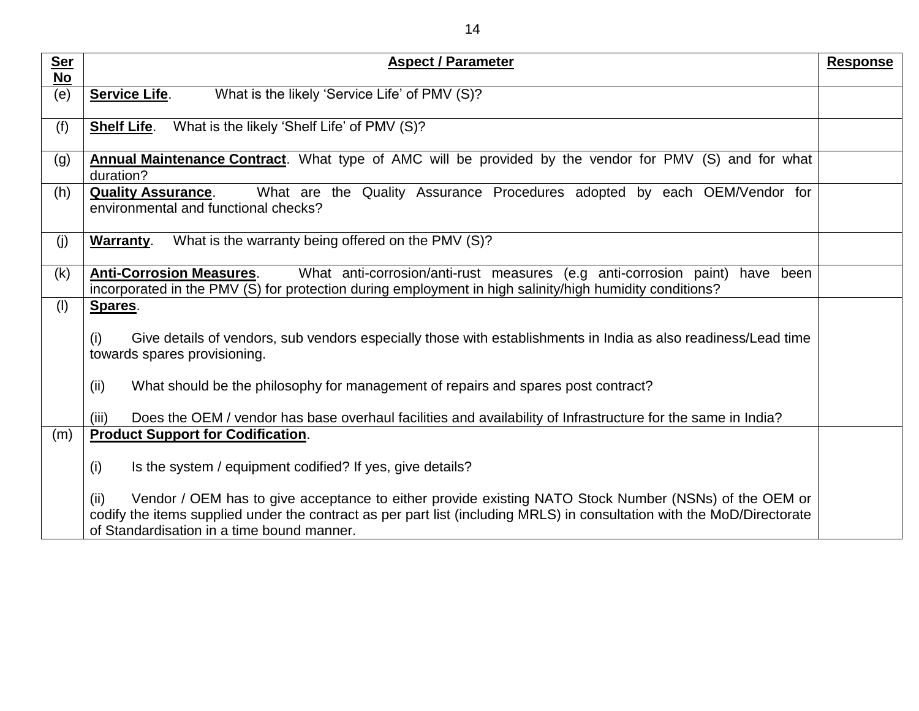| <u>Ser</u><br><b>No</b> | <b>Aspect / Parameter</b>                                                                                                                                                                                                                                                                                                                                  | <b>Response</b> |
|-------------------------|------------------------------------------------------------------------------------------------------------------------------------------------------------------------------------------------------------------------------------------------------------------------------------------------------------------------------------------------------------|-----------------|
| (e)                     | What is the likely 'Service Life' of PMV (S)?<br><b>Service Life.</b>                                                                                                                                                                                                                                                                                      |                 |
| (f)                     | What is the likely 'Shelf Life' of PMV (S)?<br><b>Shelf Life.</b>                                                                                                                                                                                                                                                                                          |                 |
| (g)                     | <b>Annual Maintenance Contract</b> . What type of AMC will be provided by the vendor for PMV (S) and for what<br>duration?                                                                                                                                                                                                                                 |                 |
| (h)                     | What are the Quality Assurance Procedures adopted by each OEM/Vendor for<br><b>Quality Assurance.</b><br>environmental and functional checks?                                                                                                                                                                                                              |                 |
| (j)                     | What is the warranty being offered on the PMV (S)?<br><b>Warranty.</b>                                                                                                                                                                                                                                                                                     |                 |
| (k)                     | <b>Anti-Corrosion Measures.</b><br>What anti-corrosion/anti-rust measures (e.g anti-corrosion paint)<br>have been<br>incorporated in the PMV (S) for protection during employment in high salinity/high humidity conditions?                                                                                                                               |                 |
| (1)                     | Spares.<br>Give details of vendors, sub vendors especially those with establishments in India as also readiness/Lead time<br>(i)<br>towards spares provisioning.<br>(ii)<br>What should be the philosophy for management of repairs and spares post contract?                                                                                              |                 |
|                         | Does the OEM / vendor has base overhaul facilities and availability of Infrastructure for the same in India?<br>(iii)<br><b>Product Support for Codification.</b>                                                                                                                                                                                          |                 |
| (m)                     | (i)<br>Is the system / equipment codified? If yes, give details?<br>(ii)<br>Vendor / OEM has to give acceptance to either provide existing NATO Stock Number (NSNs) of the OEM or<br>codify the items supplied under the contract as per part list (including MRLS) in consultation with the MoD/Directorate<br>of Standardisation in a time bound manner. |                 |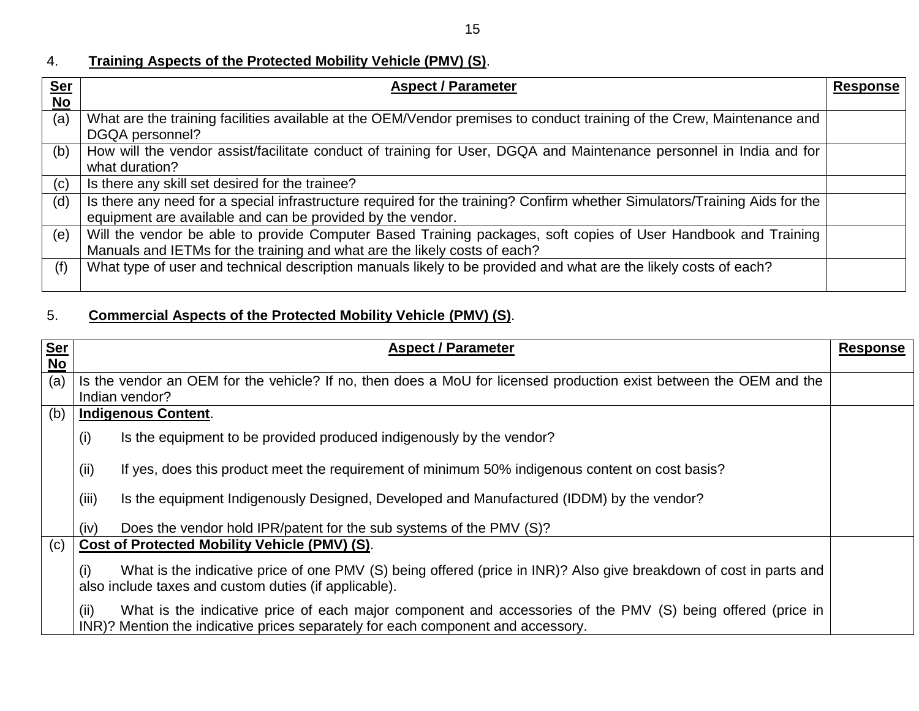### 4. **Training Aspects of the Protected Mobility Vehicle (PMV) (S)**.

| <b>Ser</b><br><b>No</b> | <b>Aspect / Parameter</b>                                                                                                                                                                   | <b>Response</b> |
|-------------------------|---------------------------------------------------------------------------------------------------------------------------------------------------------------------------------------------|-----------------|
| (a)                     | What are the training facilities available at the OEM/Vendor premises to conduct training of the Crew, Maintenance and<br>DGQA personnel?                                                   |                 |
| (b)                     | How will the vendor assist/facilitate conduct of training for User, DGQA and Maintenance personnel in India and for<br>what duration?                                                       |                 |
| (c)                     | Is there any skill set desired for the trainee?                                                                                                                                             |                 |
| (d)                     | Is there any need for a special infrastructure required for the training? Confirm whether Simulators/Training Aids for the<br>equipment are available and can be provided by the vendor.    |                 |
| (e)                     | Will the vendor be able to provide Computer Based Training packages, soft copies of User Handbook and Training<br>Manuals and IETMs for the training and what are the likely costs of each? |                 |
| (f)                     | What type of user and technical description manuals likely to be provided and what are the likely costs of each?                                                                            |                 |

### 5. **Commercial Aspects of the Protected Mobility Vehicle (PMV) (S)**.

| <b>Ser</b><br><b>No</b> | <b>Aspect / Parameter</b>                                                                                                                                                                               | <b>Response</b> |
|-------------------------|---------------------------------------------------------------------------------------------------------------------------------------------------------------------------------------------------------|-----------------|
| (a)                     | Is the vendor an OEM for the vehicle? If no, then does a MoU for licensed production exist between the OEM and the<br>Indian vendor?                                                                    |                 |
| (b)                     | <b>Indigenous Content.</b>                                                                                                                                                                              |                 |
|                         | Is the equipment to be provided produced indigenously by the vendor?<br>(i)                                                                                                                             |                 |
|                         | If yes, does this product meet the requirement of minimum 50% indigenous content on cost basis?<br>(ii)                                                                                                 |                 |
|                         | (iii)<br>Is the equipment Indigenously Designed, Developed and Manufactured (IDDM) by the vendor?                                                                                                       |                 |
|                         | Does the vendor hold IPR/patent for the sub systems of the PMV (S)?<br>(iv)                                                                                                                             |                 |
| (c)                     | Cost of Protected Mobility Vehicle (PMV) (S).                                                                                                                                                           |                 |
|                         | What is the indicative price of one PMV (S) being offered (price in INR)? Also give breakdown of cost in parts and<br>$\left( 1\right)$<br>also include taxes and custom duties (if applicable).        |                 |
|                         | What is the indicative price of each major component and accessories of the PMV (S) being offered (price in<br>(ii)<br>INR)? Mention the indicative prices separately for each component and accessory. |                 |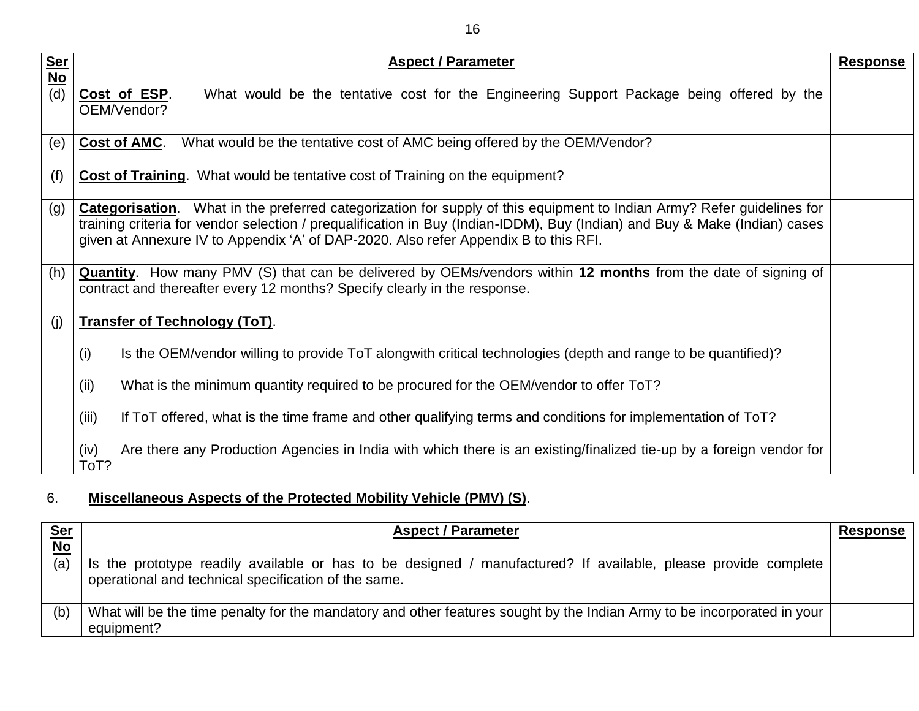| <u>Ser</u> | <b>Aspect / Parameter</b>                                                                                                                                                                                                                                                                                                                              | <b>Response</b> |
|------------|--------------------------------------------------------------------------------------------------------------------------------------------------------------------------------------------------------------------------------------------------------------------------------------------------------------------------------------------------------|-----------------|
| $No$       |                                                                                                                                                                                                                                                                                                                                                        |                 |
| (d)        | What would be the tentative cost for the Engineering Support Package being offered by the<br>Cost of ESP.<br>OEM/Vendor?                                                                                                                                                                                                                               |                 |
| (e)        | What would be the tentative cost of AMC being offered by the OEM/Vendor?<br>Cost of AMC.                                                                                                                                                                                                                                                               |                 |
| (f)        | <b>Cost of Training.</b> What would be tentative cost of Training on the equipment?                                                                                                                                                                                                                                                                    |                 |
| (g)        | What in the preferred categorization for supply of this equipment to Indian Army? Refer guidelines for<br><b>Categorisation.</b><br>training criteria for vendor selection / prequalification in Buy (Indian-IDDM), Buy (Indian) and Buy & Make (Indian) cases<br>given at Annexure IV to Appendix 'A' of DAP-2020. Also refer Appendix B to this RFI. |                 |
| (h)        | <b>Quantity</b> . How many PMV (S) that can be delivered by OEMs/vendors within 12 months from the date of signing of<br>contract and thereafter every 12 months? Specify clearly in the response.                                                                                                                                                     |                 |
| (i)        | <b>Transfer of Technology (ToT).</b>                                                                                                                                                                                                                                                                                                                   |                 |
|            | (i)<br>Is the OEM/vendor willing to provide ToT alongwith critical technologies (depth and range to be quantified)?                                                                                                                                                                                                                                    |                 |
|            | (ii)<br>What is the minimum quantity required to be procured for the OEM/vendor to offer ToT?                                                                                                                                                                                                                                                          |                 |
|            | (iii)<br>If ToT offered, what is the time frame and other qualifying terms and conditions for implementation of ToT?                                                                                                                                                                                                                                   |                 |
|            | (iv)<br>Are there any Production Agencies in India with which there is an existing/finalized tie-up by a foreign vendor for<br>ToT?                                                                                                                                                                                                                    |                 |

# 6. **Miscellaneous Aspects of the Protected Mobility Vehicle (PMV) (S)**.

| Ser<br>No | <b>Aspect / Parameter</b>                                                                                                                                              | <u>Response</u> |
|-----------|------------------------------------------------------------------------------------------------------------------------------------------------------------------------|-----------------|
| (a)       | Is the prototype readily available or has to be designed / manufactured? If available, please provide complete<br>operational and technical specification of the same. |                 |
| (b)       | What will be the time penalty for the mandatory and other features sought by the Indian Army to be incorporated in your<br>equipment?                                  |                 |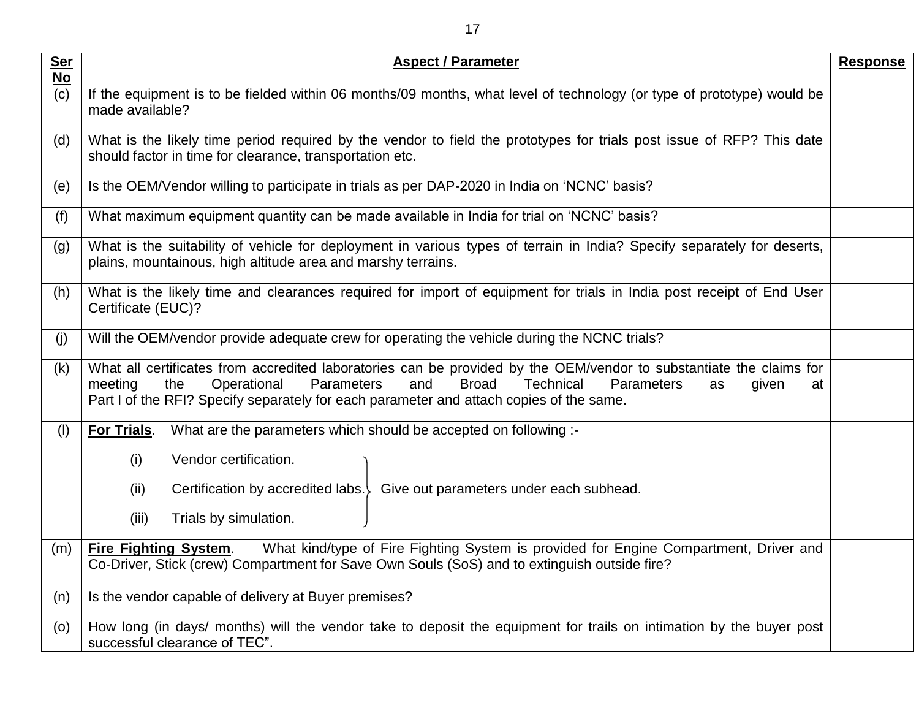| <b>Ser</b><br><b>No</b> | <b>Aspect / Parameter</b>                                                                                                                                                                                                                                                                                                                          |  |  |
|-------------------------|----------------------------------------------------------------------------------------------------------------------------------------------------------------------------------------------------------------------------------------------------------------------------------------------------------------------------------------------------|--|--|
| (c)                     | If the equipment is to be fielded within 06 months/09 months, what level of technology (or type of prototype) would be<br>made available?                                                                                                                                                                                                          |  |  |
| (d)                     | What is the likely time period required by the vendor to field the prototypes for trials post issue of RFP? This date<br>should factor in time for clearance, transportation etc.                                                                                                                                                                  |  |  |
| (e)                     | Is the OEM/Vendor willing to participate in trials as per DAP-2020 in India on 'NCNC' basis?                                                                                                                                                                                                                                                       |  |  |
| (f)                     | What maximum equipment quantity can be made available in India for trial on 'NCNC' basis?                                                                                                                                                                                                                                                          |  |  |
| (g)                     | What is the suitability of vehicle for deployment in various types of terrain in India? Specify separately for deserts,<br>plains, mountainous, high altitude area and marshy terrains.                                                                                                                                                            |  |  |
| (h)                     | What is the likely time and clearances required for import of equipment for trials in India post receipt of End User<br>Certificate (EUC)?                                                                                                                                                                                                         |  |  |
| (j)                     | Will the OEM/vendor provide adequate crew for operating the vehicle during the NCNC trials?                                                                                                                                                                                                                                                        |  |  |
| (k)                     | What all certificates from accredited laboratories can be provided by the OEM/vendor to substantiate the claims for<br>Operational<br>Parameters<br><b>Broad</b><br>and<br><b>Technical</b><br><b>Parameters</b><br>meeting<br>the<br>given<br>at<br>as<br>Part I of the RFI? Specify separately for each parameter and attach copies of the same. |  |  |
| (1)                     | For Trials.<br>What are the parameters which should be accepted on following :-                                                                                                                                                                                                                                                                    |  |  |
|                         | (i)<br>Vendor certification.                                                                                                                                                                                                                                                                                                                       |  |  |
|                         | Certification by accredited labs. Give out parameters under each subhead.<br>(ii)                                                                                                                                                                                                                                                                  |  |  |
|                         | Trials by simulation.<br>(iii)                                                                                                                                                                                                                                                                                                                     |  |  |
| (m)                     | What kind/type of Fire Fighting System is provided for Engine Compartment, Driver and<br><b>Fire Fighting System.</b>                                                                                                                                                                                                                              |  |  |
|                         | Co-Driver, Stick (crew) Compartment for Save Own Souls (SoS) and to extinguish outside fire?                                                                                                                                                                                                                                                       |  |  |
| (n)                     | Is the vendor capable of delivery at Buyer premises?                                                                                                                                                                                                                                                                                               |  |  |
| (o)                     | How long (in days/ months) will the vendor take to deposit the equipment for trails on intimation by the buyer post<br>successful clearance of TEC".                                                                                                                                                                                               |  |  |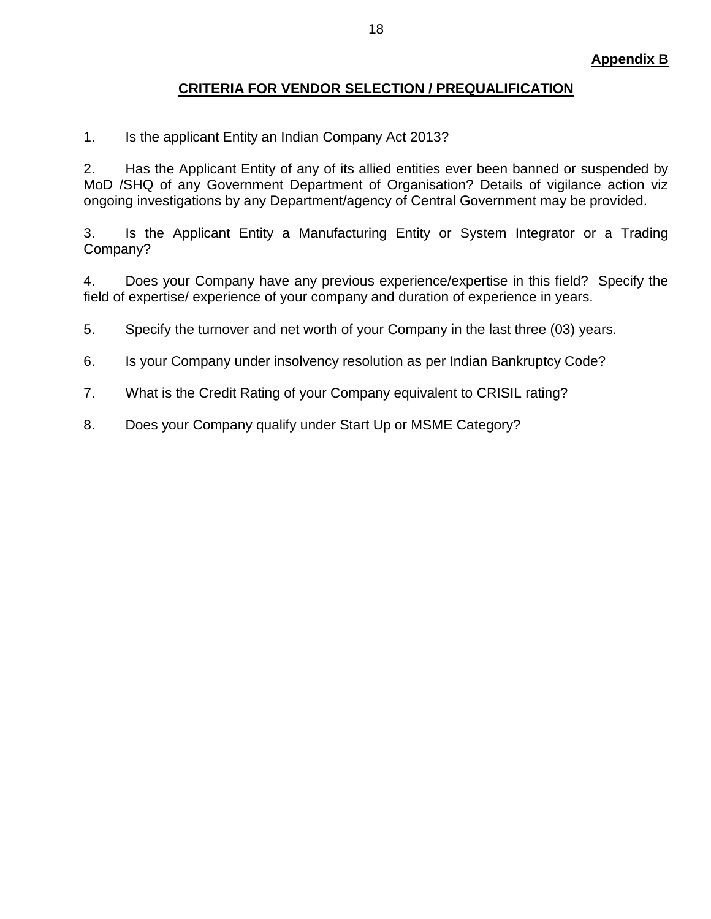#### **CRITERIA FOR VENDOR SELECTION / PREQUALIFICATION**

1. Is the applicant Entity an Indian Company Act 2013?

2. Has the Applicant Entity of any of its allied entities ever been banned or suspended by MoD /SHQ of any Government Department of Organisation? Details of vigilance action viz ongoing investigations by any Department/agency of Central Government may be provided.

3. Is the Applicant Entity a Manufacturing Entity or System Integrator or a Trading Company?

4. Does your Company have any previous experience/expertise in this field? Specify the field of expertise/ experience of your company and duration of experience in years.

- 5. Specify the turnover and net worth of your Company in the last three (03) years.
- 6. Is your Company under insolvency resolution as per Indian Bankruptcy Code?
- 7. What is the Credit Rating of your Company equivalent to CRISIL rating?
- 8. Does your Company qualify under Start Up or MSME Category?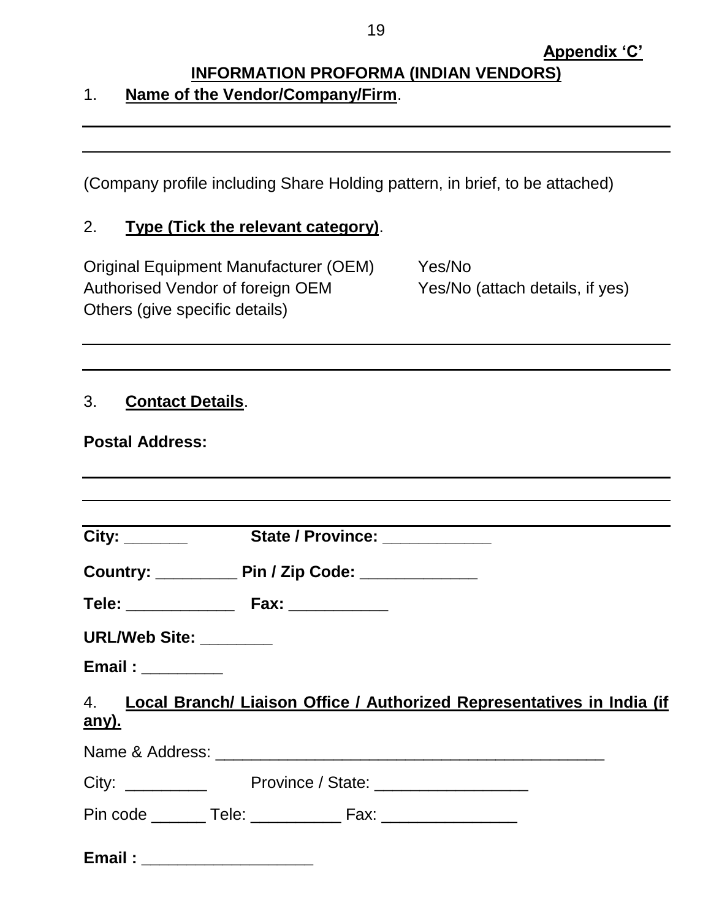## **INFORMATION PROFORMA (INDIAN VENDORS)** 1. **Name of the Vendor/Company/Firm**.

(Company profile including Share Holding pattern, in brief, to be attached)

#### 2. **Type (Tick the relevant category)**.

Original Equipment Manufacturer (OEM) Yes/No Authorised Vendor of foreign OEM Yes/No (attach details, if yes) Others (give specific details)

## 3. **Contact Details**.

#### **Postal Address:**

| Country: ___________________ Pin / Zip Code: ___________________________________ |
|----------------------------------------------------------------------------------|
|                                                                                  |
| URL/Web Site: ________                                                           |
| Email:                                                                           |
| 4. Local Branch/ Liaison Office / Authorized Representatives in India (if        |
| <u>any).</u>                                                                     |
|                                                                                  |
|                                                                                  |
| Pin code _________ Tele: ________________ Fax: _________________________________ |
|                                                                                  |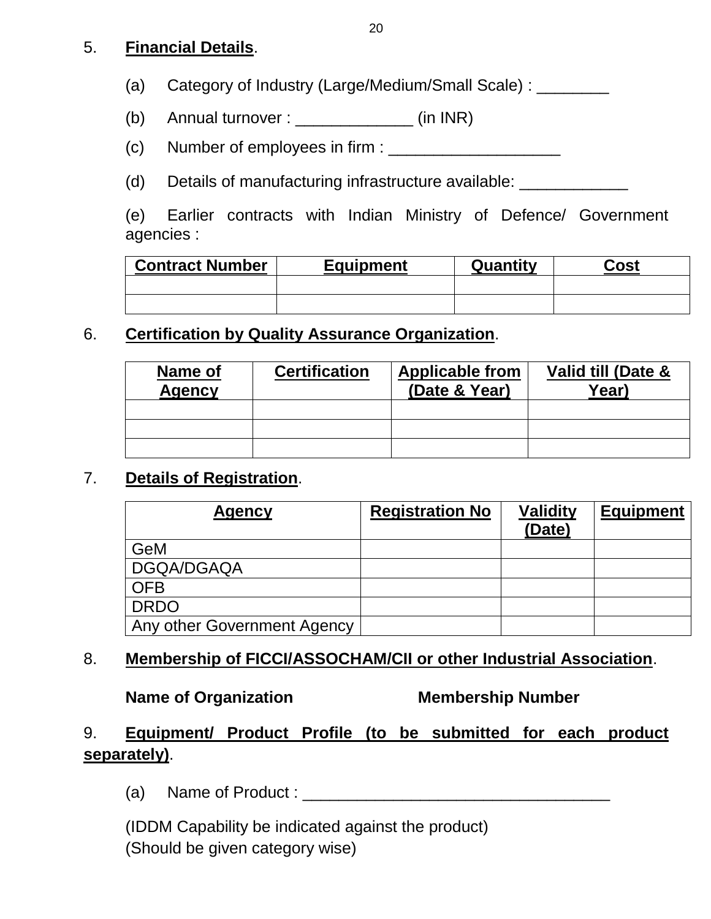## 5. **Financial Details**.

(a) Category of Industry (Large/Medium/Small Scale) : \_\_\_\_\_\_\_\_

- (b) Annual turnover :  $\frac{1}{2}$  (in INR)
- (c) Number of employees in firm :

(d) Details of manufacturing infrastructure available: \_\_\_\_\_\_\_\_\_\_\_\_\_\_

(e) Earlier contracts with Indian Ministry of Defence/ Government agencies :

| <b>Contract Number</b> | <b>Equipment</b> | Quantity | Cost |
|------------------------|------------------|----------|------|
|                        |                  |          |      |
|                        |                  |          |      |

### 6. **Certification by Quality Assurance Organization**.

| Name of<br><b>Agency</b> | <b>Certification</b> | <b>Applicable from</b><br>(Date & Year) | Valid till (Date &<br>Year) |
|--------------------------|----------------------|-----------------------------------------|-----------------------------|
|                          |                      |                                         |                             |
|                          |                      |                                         |                             |
|                          |                      |                                         |                             |

### 7. **Details of Registration**.

| <b>Agency</b>               | <b>Registration No</b> | <b>Validity</b><br>(Date) | <b>Equipment</b> |
|-----------------------------|------------------------|---------------------------|------------------|
| GeM                         |                        |                           |                  |
| DGQA/DGAQA                  |                        |                           |                  |
| <b>OFB</b>                  |                        |                           |                  |
| <b>DRDO</b>                 |                        |                           |                  |
| Any other Government Agency |                        |                           |                  |

## 8. **Membership of FICCI/ASSOCHAM/CII or other Industrial Association**.

#### **Name of Organization Membership Number**

## 9. **Equipment/ Product Profile (to be submitted for each product separately)**.

(a) Name of Product : \_\_\_\_\_\_\_\_\_\_\_\_\_\_\_\_\_\_\_\_\_\_\_\_\_\_\_\_\_\_\_\_\_\_

(IDDM Capability be indicated against the product) (Should be given category wise)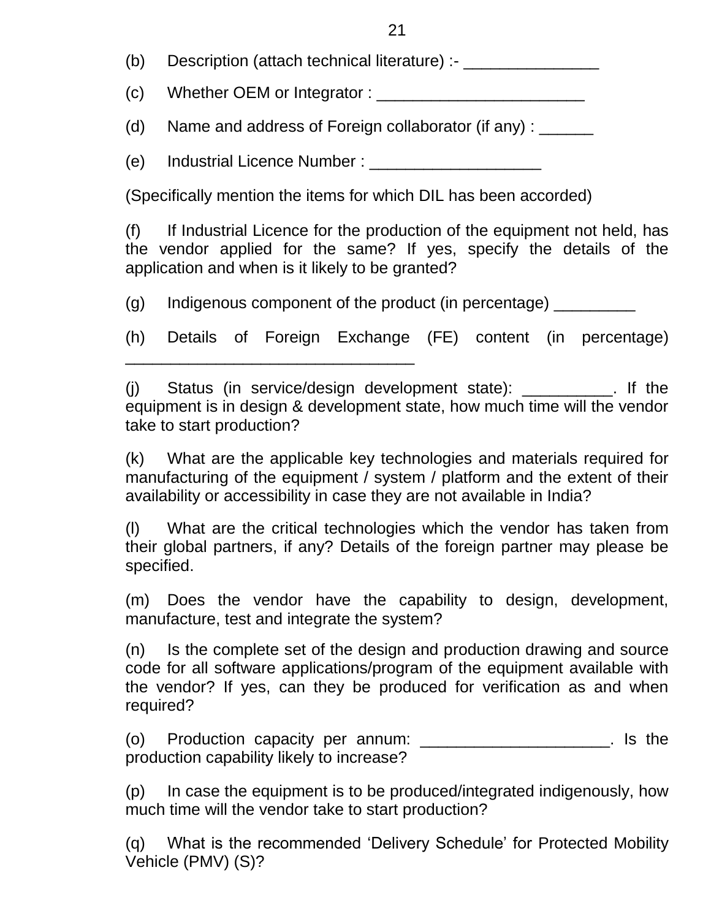(b) Description (attach technical literature) :-

(c) Whether OEM or Integrator :  $\frac{1}{\sqrt{1-\frac{1}{2}}\sqrt{1-\frac{1}{2}}\sqrt{1-\frac{1}{2}}\sqrt{1-\frac{1}{2}}\sqrt{1-\frac{1}{2}}\sqrt{1-\frac{1}{2}}\sqrt{1-\frac{1}{2}}\sqrt{1-\frac{1}{2}}\sqrt{1-\frac{1}{2}}\sqrt{1-\frac{1}{2}}\sqrt{1-\frac{1}{2}}\sqrt{1-\frac{1}{2}}\sqrt{1-\frac{1}{2}}\sqrt{1-\frac{1}{2}}\sqrt{1-\frac{1}{2}}\sqrt{1-\frac{1}{2}}\sqrt{1-\frac{$ 

(d) Name and address of Foreign collaborator (if any) : \_\_\_\_\_\_

(e) Industrial Licence Number : \_\_\_\_\_\_\_\_\_\_\_\_\_\_\_\_\_\_\_

\_\_\_\_\_\_\_\_\_\_\_\_\_\_\_\_\_\_\_\_\_\_\_\_\_\_\_\_\_\_\_\_

(Specifically mention the items for which DIL has been accorded)

(f) If Industrial Licence for the production of the equipment not held, has the vendor applied for the same? If yes, specify the details of the application and when is it likely to be granted?

 $(q)$  Indigenous component of the product (in percentage)  $\sqrt{q}$ 

(h) Details of Foreign Exchange (FE) content (in percentage)

(j) Status (in service/design development state): \_\_\_\_\_\_\_\_\_\_. If the equipment is in design & development state, how much time will the vendor take to start production?

(k) What are the applicable key technologies and materials required for manufacturing of the equipment / system / platform and the extent of their availability or accessibility in case they are not available in India?

(l) What are the critical technologies which the vendor has taken from their global partners, if any? Details of the foreign partner may please be specified.

(m) Does the vendor have the capability to design, development, manufacture, test and integrate the system?

(n) Is the complete set of the design and production drawing and source code for all software applications/program of the equipment available with the vendor? If yes, can they be produced for verification as and when required?

(o) Production capacity per annum: \_\_\_\_\_\_\_\_\_\_\_\_\_\_\_\_\_\_\_\_\_. Is the production capability likely to increase?

(p) In case the equipment is to be produced/integrated indigenously, how much time will the vendor take to start production?

(q) What is the recommended 'Delivery Schedule' for Protected Mobility Vehicle (PMV) (S)?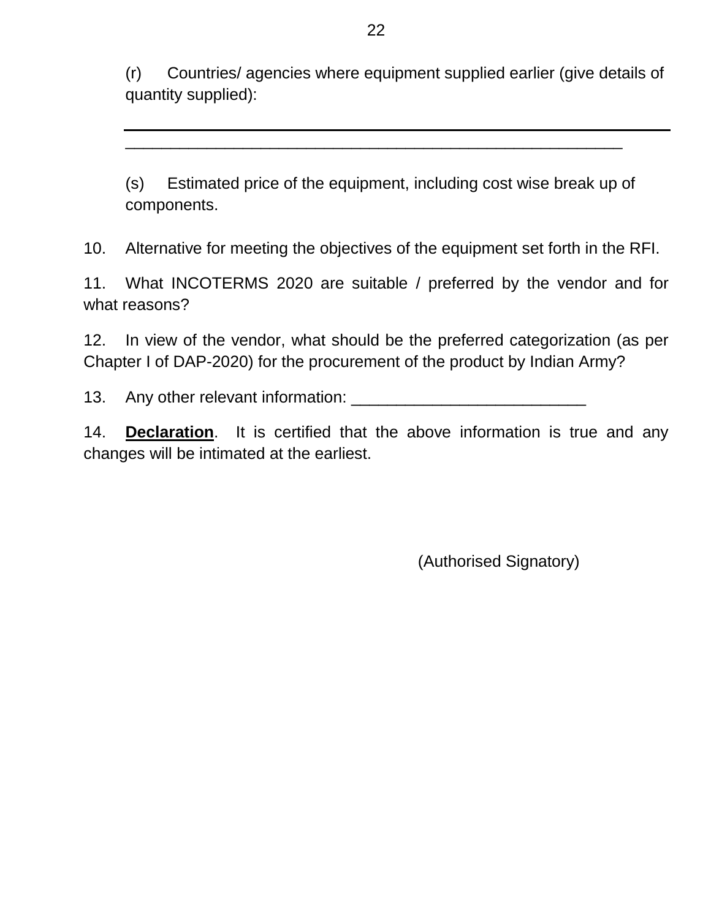(r) Countries/ agencies where equipment supplied earlier (give details of quantity supplied):

(s) Estimated price of the equipment, including cost wise break up of components.

\_\_\_\_\_\_\_\_\_\_\_\_\_\_\_\_\_\_\_\_\_\_\_\_\_\_\_\_\_\_\_\_\_\_\_\_\_\_\_\_\_\_\_\_\_\_\_\_\_\_\_\_\_\_\_

10. Alternative for meeting the objectives of the equipment set forth in the RFI.

11. What INCOTERMS 2020 are suitable / preferred by the vendor and for what reasons?

12. In view of the vendor, what should be the preferred categorization (as per Chapter I of DAP-2020) for the procurement of the product by Indian Army?

13. Any other relevant information: \_\_\_\_\_\_\_\_\_\_\_\_\_\_\_\_\_\_\_\_\_\_\_\_\_\_

14. **Declaration**. It is certified that the above information is true and any changes will be intimated at the earliest.

(Authorised Signatory)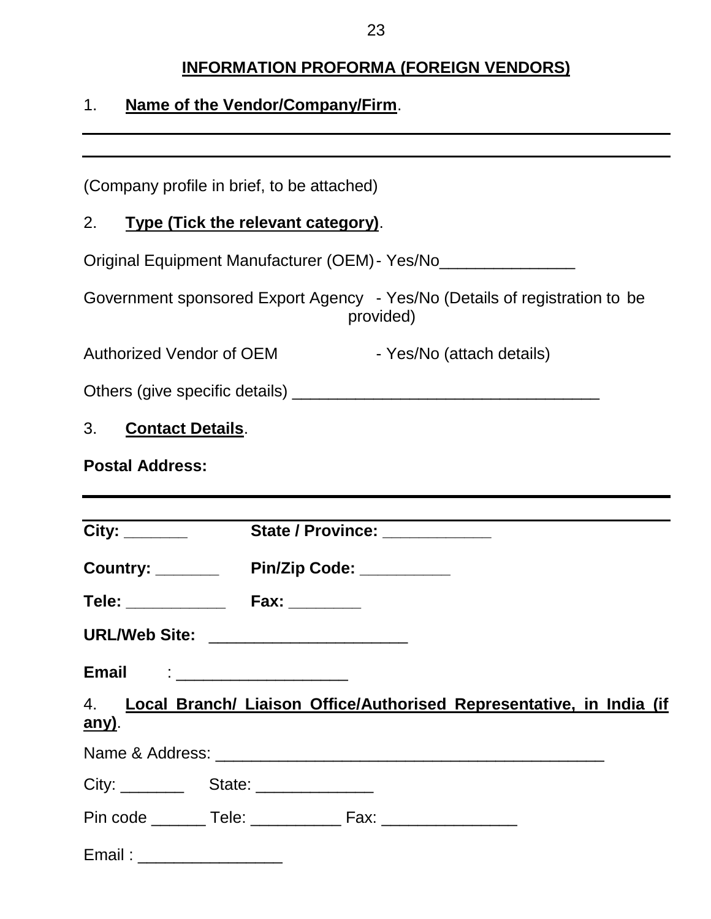# **INFORMATION PROFORMA (FOREIGN VENDORS)**

# 1. **Name of the Vendor/Company/Firm**.

| (Company profile in brief, to be attached)                                              |  |  |  |  |
|-----------------------------------------------------------------------------------------|--|--|--|--|
| 2. Type (Tick the relevant category).                                                   |  |  |  |  |
| Original Equipment Manufacturer (OEM) - Yes/No__________________                        |  |  |  |  |
| Government sponsored Export Agency - Yes/No (Details of registration to be<br>provided) |  |  |  |  |
| - Yes/No (attach details)<br><b>Authorized Vendor of OEM</b>                            |  |  |  |  |
|                                                                                         |  |  |  |  |
| 3. Contact Details.                                                                     |  |  |  |  |
| <b>Postal Address:</b>                                                                  |  |  |  |  |
|                                                                                         |  |  |  |  |
| City: State / Province: City:                                                           |  |  |  |  |
| Country: Pin/Zip Code: ________                                                         |  |  |  |  |
|                                                                                         |  |  |  |  |
| URL/Web Site: _______________________                                                   |  |  |  |  |
| <b>Email</b><br>the control of the control of the control of the control of             |  |  |  |  |
| 4. Local Branch/ Liaison Office/Authorised Representative, in India (if<br>any).        |  |  |  |  |
|                                                                                         |  |  |  |  |
|                                                                                         |  |  |  |  |
|                                                                                         |  |  |  |  |
| Email: ____________________                                                             |  |  |  |  |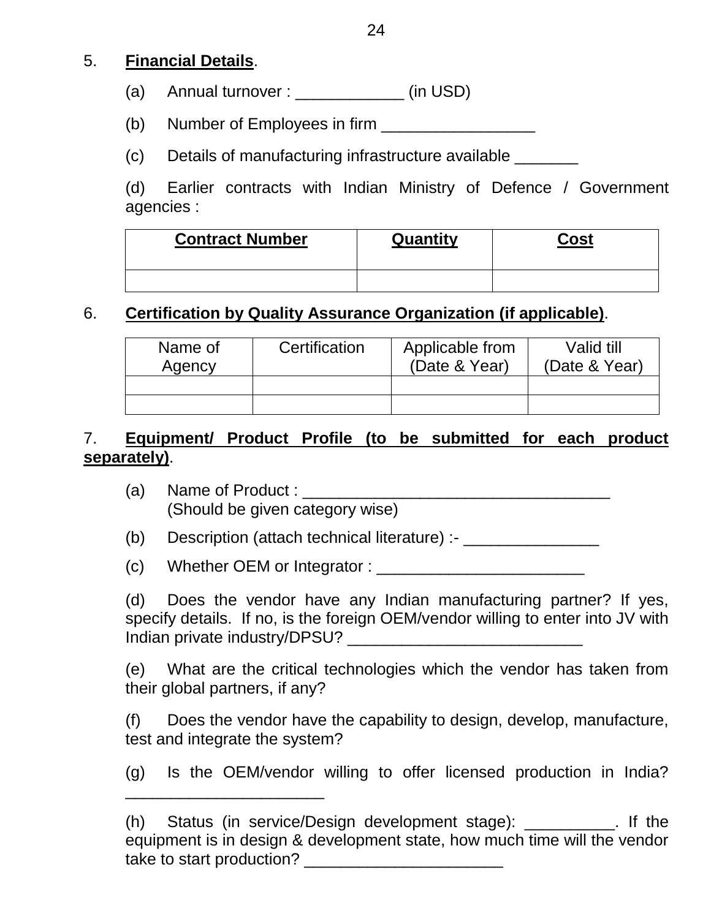### 5. **Financial Details**.

- (a) Annual turnover :  $\qquad \qquad$  (in USD)
- (b) Number of Employees in firm  $\frac{1}{1}$
- (c) Details of manufacturing infrastructure available \_\_\_\_\_\_\_

(d) Earlier contracts with Indian Ministry of Defence / Government agencies :

| <b>Contract Number</b> | Quantity | Cost |
|------------------------|----------|------|
|                        |          |      |

## 6. **Certification by Quality Assurance Organization (if applicable)**.

| Name of<br>Agency | Certification | Applicable from<br>(Date & Year) | Valid till<br>(Date & Year) |
|-------------------|---------------|----------------------------------|-----------------------------|
|                   |               |                                  |                             |
|                   |               |                                  |                             |

## 7. **Equipment/ Product Profile (to be submitted for each product separately)**.

- (a) Name of Product : \_\_\_\_\_\_\_\_\_\_\_\_\_\_\_\_\_\_\_\_\_\_\_\_\_\_\_\_\_\_\_\_\_\_ (Should be given category wise)
- (b) Description (attach technical literature) :- \_\_\_\_\_\_\_\_\_\_\_\_\_\_\_\_\_\_
- (c) Whether OEM or Integrator : \_\_\_\_\_\_\_\_\_\_\_\_\_\_\_\_\_\_\_\_\_\_\_

\_\_\_\_\_\_\_\_\_\_\_\_\_\_\_\_\_\_\_\_\_\_

(d) Does the vendor have any Indian manufacturing partner? If yes, specify details. If no, is the foreign OEM/vendor willing to enter into JV with Indian private industry/DPSU?

(e) What are the critical technologies which the vendor has taken from their global partners, if any?

(f) Does the vendor have the capability to design, develop, manufacture, test and integrate the system?

(g) Is the OEM/vendor willing to offer licensed production in India?

<sup>(</sup>h) Status (in service/Design development stage): \_\_\_\_\_\_\_\_\_\_. If the equipment is in design & development state, how much time will the vendor take to start production?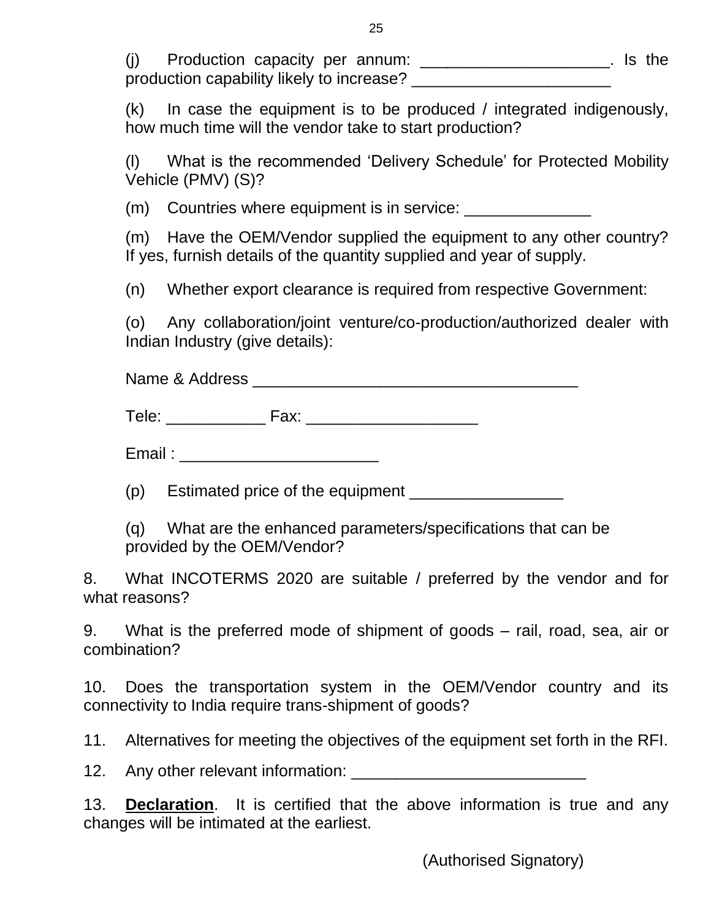| (i) | Production capacity per annum:            |  |  | . Is the |
|-----|-------------------------------------------|--|--|----------|
|     | production capability likely to increase? |  |  |          |

(k) In case the equipment is to be produced / integrated indigenously, how much time will the vendor take to start production?

(l) What is the recommended 'Delivery Schedule' for Protected Mobility Vehicle (PMV) (S)?

(m) Countries where equipment is in service:

(m) Have the OEM/Vendor supplied the equipment to any other country? If yes, furnish details of the quantity supplied and year of supply.

(n) Whether export clearance is required from respective Government:

(o) Any collaboration/joint venture/co-production/authorized dealer with Indian Industry (give details):

Name & Address \_\_\_\_\_\_\_\_\_\_\_\_\_\_\_\_\_\_\_\_\_\_\_\_\_\_\_\_\_\_\_\_\_\_\_\_

Tele: \_\_\_\_\_\_\_\_\_\_\_ Fax: \_\_\_\_\_\_\_\_\_\_\_\_\_\_\_\_\_\_\_

Email : \_\_\_\_\_\_\_\_\_\_\_\_\_\_\_\_\_\_\_\_\_\_

(p) Estimated price of the equipment

(q) What are the enhanced parameters/specifications that can be provided by the OEM/Vendor?

8. What INCOTERMS 2020 are suitable / preferred by the vendor and for what reasons?

9. What is the preferred mode of shipment of goods – rail, road, sea, air or combination?

10. Does the transportation system in the OEM/Vendor country and its connectivity to India require trans-shipment of goods?

11. Alternatives for meeting the objectives of the equipment set forth in the RFI.

12. Any other relevant information: \_\_\_\_\_\_\_\_\_\_\_\_\_\_\_\_\_\_\_\_\_\_\_\_\_\_

13. **Declaration**. It is certified that the above information is true and any changes will be intimated at the earliest.

(Authorised Signatory)

25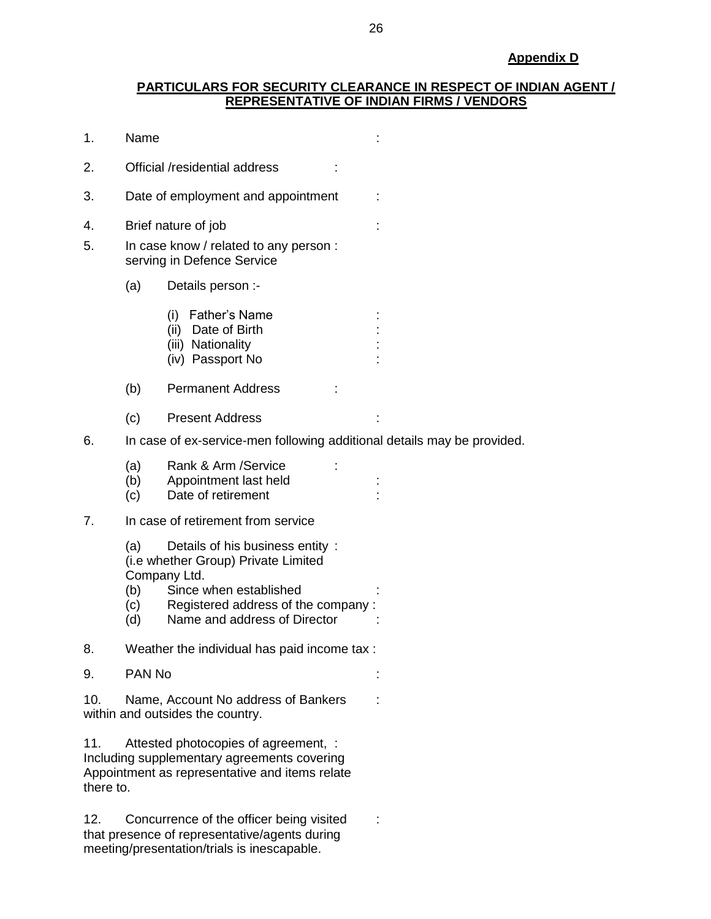#### **PARTICULARS FOR SECURITY CLEARANCE IN RESPECT OF INDIAN AGENT / REPRESENTATIVE OF INDIAN FIRMS / VENDORS**

| 1.               | Name                                                                    |                                                                                                                                                                                        |  |  |  |  |
|------------------|-------------------------------------------------------------------------|----------------------------------------------------------------------------------------------------------------------------------------------------------------------------------------|--|--|--|--|
| 2.               |                                                                         | Official /residential address                                                                                                                                                          |  |  |  |  |
| 3.               |                                                                         | Date of employment and appointment                                                                                                                                                     |  |  |  |  |
| 4.<br>5.         |                                                                         | Brief nature of job<br>In case know / related to any person :<br>serving in Defence Service                                                                                            |  |  |  |  |
|                  | (a)                                                                     | Details person :-                                                                                                                                                                      |  |  |  |  |
|                  |                                                                         | (i) Father's Name<br>Date of Birth<br>(ii)<br>(iii) Nationality<br>(iv) Passport No                                                                                                    |  |  |  |  |
|                  | (b)                                                                     | <b>Permanent Address</b>                                                                                                                                                               |  |  |  |  |
|                  | (c)                                                                     | <b>Present Address</b>                                                                                                                                                                 |  |  |  |  |
| 6.               | In case of ex-service-men following additional details may be provided. |                                                                                                                                                                                        |  |  |  |  |
|                  | (a)<br>(b)<br>(c)                                                       | Rank & Arm / Service<br>Appointment last held<br>Date of retirement                                                                                                                    |  |  |  |  |
| 7.               |                                                                         | In case of retirement from service                                                                                                                                                     |  |  |  |  |
|                  | (a)<br>(b)<br>(c)<br>(d)                                                | Details of his business entity:<br>(i.e whether Group) Private Limited<br>Company Ltd.<br>Since when established<br>Registered address of the company:<br>Name and address of Director |  |  |  |  |
| 8.               |                                                                         | Weather the individual has paid income tax :                                                                                                                                           |  |  |  |  |
| 9.               | PAN No                                                                  |                                                                                                                                                                                        |  |  |  |  |
| 10.              | Name, Account No address of Bankers<br>within and outsides the country. |                                                                                                                                                                                        |  |  |  |  |
| 11.<br>there to. |                                                                         | Attested photocopies of agreement, :<br>Including supplementary agreements covering<br>Appointment as representative and items relate                                                  |  |  |  |  |
| 12.              |                                                                         | Concurrence of the officer being visited                                                                                                                                               |  |  |  |  |

that presence of representative/agents during meeting/presentation/trials is inescapable.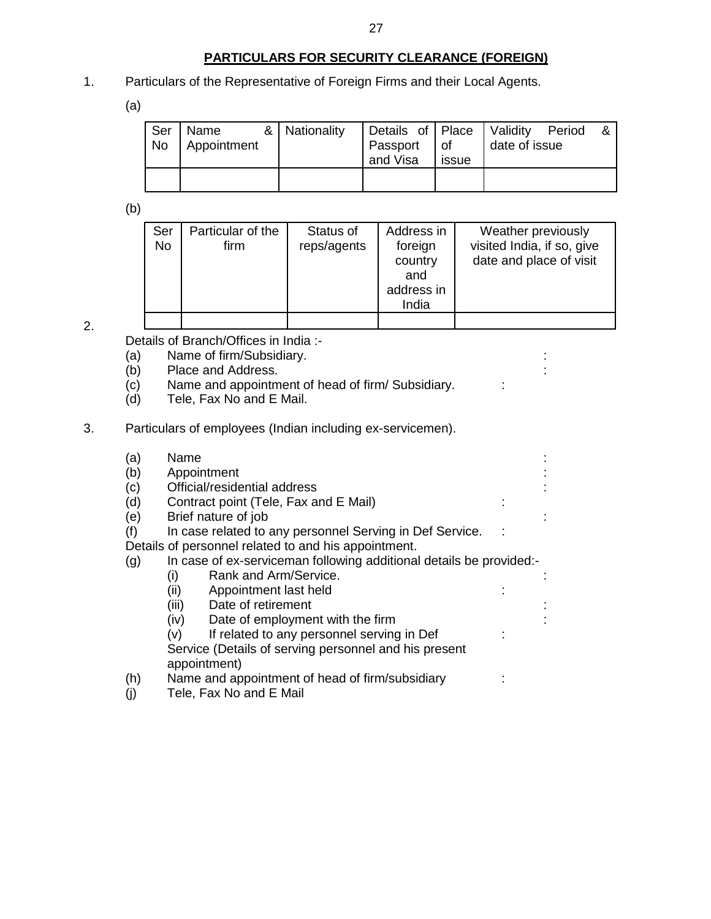#### **PARTICULARS FOR SECURITY CLEARANCE (FOREIGN)**

1. Particulars of the Representative of Foreign Firms and their Local Agents.

(a)

| Ser<br><b>No</b> | Name<br>Appointment | & Nationality | Details of Place   Validity Period<br>Passport of<br>and Visa | issue | date of issue |  |
|------------------|---------------------|---------------|---------------------------------------------------------------|-------|---------------|--|
|                  |                     |               |                                                               |       |               |  |

(b)

| Ser<br><b>No</b> | Particular of the<br>firm | Status of<br>reps/agents | Address in<br>foreign<br>country<br>and<br>address in<br>India | Weather previously<br>visited India, if so, give<br>date and place of visit |
|------------------|---------------------------|--------------------------|----------------------------------------------------------------|-----------------------------------------------------------------------------|
|                  |                           |                          |                                                                |                                                                             |

2.

Details of Branch/Offices in India :-

- (a) Name of firm/Subsidiary.<br>
(b) Place and Address.
- Place and Address.
- $\overrightarrow{c}$  Name and appointment of head of firm/ Subsidiary.  $\overrightarrow{c}$ :
- (d) Tele, Fax No and E Mail.
- 3. Particulars of employees (Indian including ex-servicemen).

| (a) | Name                                                                |  |  |  |  |  |  |
|-----|---------------------------------------------------------------------|--|--|--|--|--|--|
| (b) | Appointment                                                         |  |  |  |  |  |  |
| (c) | Official/residential address                                        |  |  |  |  |  |  |
| (d) | Contract point (Tele, Fax and E Mail)                               |  |  |  |  |  |  |
| (e) | Brief nature of job                                                 |  |  |  |  |  |  |
| (f) | In case related to any personnel Serving in Def Service.            |  |  |  |  |  |  |
|     | Details of personnel related to and his appointment.                |  |  |  |  |  |  |
| (g) | In case of ex-serviceman following additional details be provided:- |  |  |  |  |  |  |
|     | Rank and Arm/Service.<br>(i)                                        |  |  |  |  |  |  |
|     | (ii)<br>Appointment last held                                       |  |  |  |  |  |  |
|     | Date of retirement<br>(iii)                                         |  |  |  |  |  |  |
|     | Date of employment with the firm<br>(iv)                            |  |  |  |  |  |  |
|     | If related to any personnel serving in Def<br>(v)                   |  |  |  |  |  |  |
|     | Service (Details of serving personnel and his present               |  |  |  |  |  |  |
|     | appointment)                                                        |  |  |  |  |  |  |
| (h) | Name and appointment of head of firm/subsidiary                     |  |  |  |  |  |  |
| (j) | Tele, Fax No and E Mail                                             |  |  |  |  |  |  |